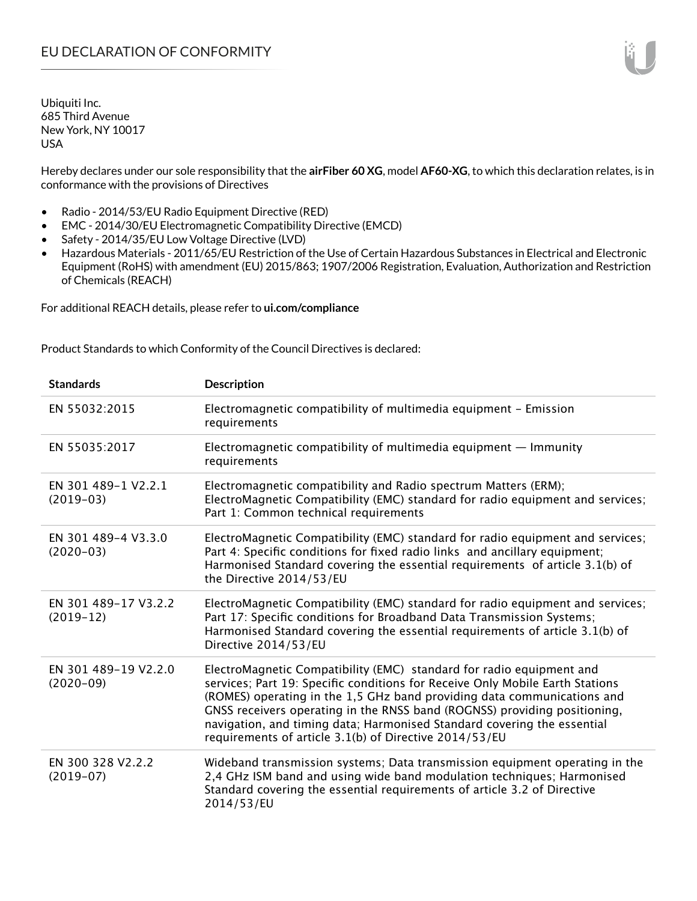Hereby declares under our sole responsibility that the **airFiber 60 XG**, model **AF60-XG**, to which this declaration relates, is in conformance with the provisions of Directives

- Radio 2014/53/EU Radio Equipment Directive (RED)
- EMC 2014/30/EU Electromagnetic Compatibility Directive (EMCD)
- Safety 2014/35/EU Low Voltage Directive (LVD)
- Hazardous Materials 2011/65/EU Restriction of the Use of Certain Hazardous Substances in Electrical and Electronic Equipment (RoHS) with amendment (EU) 2015/863; 1907/2006 Registration, Evaluation, Authorization and Restriction of Chemicals (REACH)

For additional REACH details, please refer to **ui.com/compliance**

Product Standards to which Conformity of the Council Directives is declared:

| <b>Standards</b>                    | <b>Description</b>                                                                                                                                                                                                                                                                                                                                                                                                                                 |
|-------------------------------------|----------------------------------------------------------------------------------------------------------------------------------------------------------------------------------------------------------------------------------------------------------------------------------------------------------------------------------------------------------------------------------------------------------------------------------------------------|
| EN 55032:2015                       | Electromagnetic compatibility of multimedia equipment - Emission<br>requirements                                                                                                                                                                                                                                                                                                                                                                   |
| EN 55035:2017                       | Electromagnetic compatibility of multimedia equipment $-$ Immunity<br>requirements                                                                                                                                                                                                                                                                                                                                                                 |
| EN 301 489-1 V2.2.1<br>$(2019-03)$  | Electromagnetic compatibility and Radio spectrum Matters (ERM);<br>ElectroMagnetic Compatibility (EMC) standard for radio equipment and services;<br>Part 1: Common technical requirements                                                                                                                                                                                                                                                         |
| EN 301 489-4 V3.3.0<br>$(2020-03)$  | ElectroMagnetic Compatibility (EMC) standard for radio equipment and services;<br>Part 4: Specific conditions for fixed radio links and ancillary equipment;<br>Harmonised Standard covering the essential requirements of article 3.1(b) of<br>the Directive 2014/53/EU                                                                                                                                                                           |
| EN 301 489-17 V3.2.2<br>$(2019-12)$ | ElectroMagnetic Compatibility (EMC) standard for radio equipment and services;<br>Part 17: Specific conditions for Broadband Data Transmission Systems;<br>Harmonised Standard covering the essential requirements of article 3.1(b) of<br>Directive 2014/53/EU                                                                                                                                                                                    |
| EN 301 489-19 V2.2.0<br>$(2020-09)$ | ElectroMagnetic Compatibility (EMC) standard for radio equipment and<br>services; Part 19: Specific conditions for Receive Only Mobile Earth Stations<br>(ROMES) operating in the 1,5 GHz band providing data communications and<br>GNSS receivers operating in the RNSS band (ROGNSS) providing positioning,<br>navigation, and timing data; Harmonised Standard covering the essential<br>requirements of article 3.1(b) of Directive 2014/53/EU |
| EN 300 328 V2.2.2<br>$(2019-07)$    | Wideband transmission systems; Data transmission equipment operating in the<br>2,4 GHz ISM band and using wide band modulation techniques; Harmonised<br>Standard covering the essential requirements of article 3.2 of Directive<br>2014/53/EU                                                                                                                                                                                                    |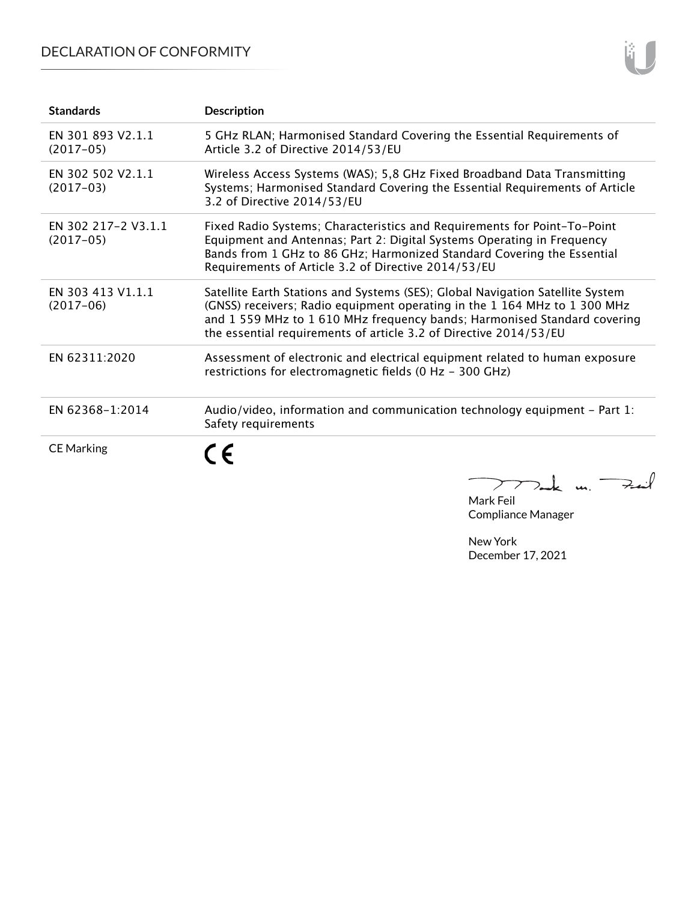## DECLARATION OF CONFORMITY

| <b>Standards</b>                   | <b>Description</b>                                                                                                                                                                                                                                                                                           |
|------------------------------------|--------------------------------------------------------------------------------------------------------------------------------------------------------------------------------------------------------------------------------------------------------------------------------------------------------------|
| EN 301 893 V2.1.1<br>$(2017-05)$   | 5 GHz RLAN; Harmonised Standard Covering the Essential Requirements of<br>Article 3.2 of Directive 2014/53/EU                                                                                                                                                                                                |
| EN 302 502 V2.1.1<br>$(2017-03)$   | Wireless Access Systems (WAS); 5,8 GHz Fixed Broadband Data Transmitting<br>Systems; Harmonised Standard Covering the Essential Requirements of Article<br>3.2 of Directive 2014/53/EU                                                                                                                       |
| EN 302 217-2 V3.1.1<br>$(2017-05)$ | Fixed Radio Systems; Characteristics and Requirements for Point-To-Point<br>Equipment and Antennas; Part 2: Digital Systems Operating in Frequency<br>Bands from 1 GHz to 86 GHz; Harmonized Standard Covering the Essential<br>Requirements of Article 3.2 of Directive 2014/53/EU                          |
| EN 303 413 V1.1.1<br>$(2017-06)$   | Satellite Earth Stations and Systems (SES); Global Navigation Satellite System<br>(GNSS) receivers; Radio equipment operating in the 1 164 MHz to 1 300 MHz<br>and 1 559 MHz to 1 610 MHz frequency bands; Harmonised Standard covering<br>the essential requirements of article 3.2 of Directive 2014/53/EU |
| EN 62311:2020                      | Assessment of electronic and electrical equipment related to human exposure<br>restrictions for electromagnetic fields (0 Hz - 300 GHz)                                                                                                                                                                      |
| EN 62368-1:2014                    | Audio/video, information and communication technology equipment $-$ Part 1:<br>Safety requirements                                                                                                                                                                                                           |
| <b>CE Marking</b>                  | $\epsilon$<br>77 ruk un. 7                                                                                                                                                                                                                                                                                   |

Mark Feil Compliance Manager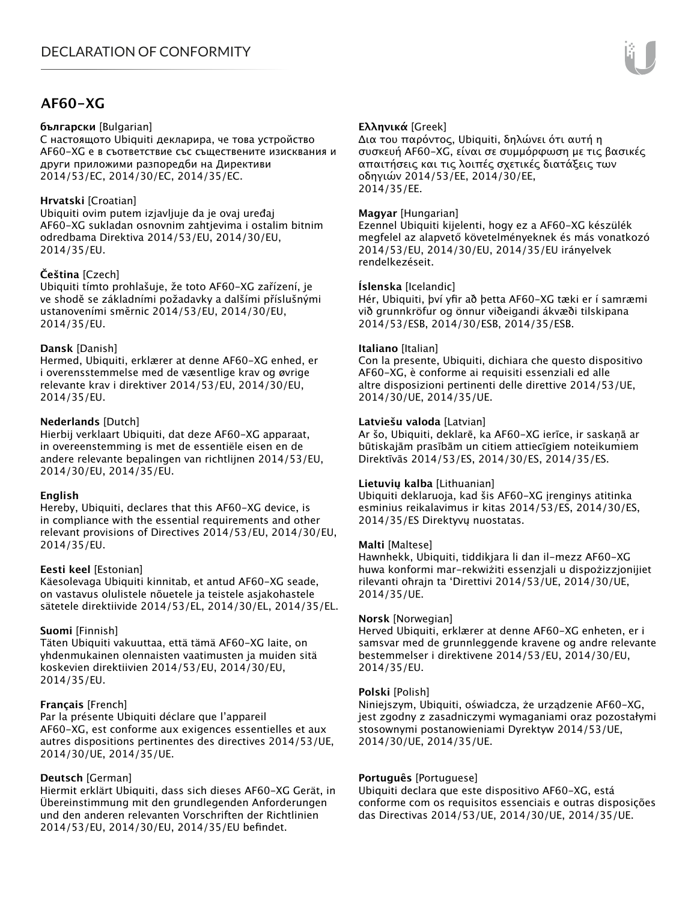### **AF60-XG**

#### **български** [Bulgarian]

С настоящото Ubiquiti декларира, че това устройство AF60-XG е в съответствие със съществените изисквания и други приложими разпоредби на Директиви 2014/53/EC, 2014/30/ЕС, 2014/35/ЕС.

#### **Hrvatski** [Croatian]

Ubiquiti ovim putem izjavljuje da je ovaj uređaj AF60-XG sukladan osnovnim zahtjevima i ostalim bitnim odredbama Direktiva 2014/53/EU, 2014/30/EU, 2014/35/EU.

#### **Čeština** [Czech]

Ubiquiti tímto prohlašuje, že toto AF60-XG zařízení, je ve shodě se základními požadavky a dalšími příslušnými ustanoveními směrnic 2014/53/EU, 2014/30/EU, 2014/35/EU.

#### **Dansk** [Danish]

Hermed, Ubiquiti, erklærer at denne AF60-XG enhed, er i overensstemmelse med de væsentlige krav og øvrige relevante krav i direktiver 2014/53/EU, 2014/30/EU, 2014/35/EU.

#### **Nederlands** [Dutch]

Hierbij verklaart Ubiquiti, dat deze AF60-XG apparaat, in overeenstemming is met de essentiële eisen en de andere relevante bepalingen van richtlijnen 2014/53/EU, 2014/30/EU, 2014/35/EU.

#### **English**

Hereby, Ubiquiti, declares that this AF60-XG device, is in compliance with the essential requirements and other relevant provisions of Directives 2014/53/EU, 2014/30/EU, 2014/35/EU.

#### **Eesti keel** [Estonian]

Käesolevaga Ubiquiti kinnitab, et antud AF60-XG seade, on vastavus olulistele nõuetele ja teistele asjakohastele sätetele direktiivide 2014/53/EL, 2014/30/EL, 2014/35/EL.

#### **Suomi** [Finnish]

Täten Ubiquiti vakuuttaa, että tämä AF60-XG laite, on yhdenmukainen olennaisten vaatimusten ja muiden sitä koskevien direktiivien 2014/53/EU, 2014/30/EU, 2014/35/EU.

#### **Français** [French]

Par la présente Ubiquiti déclare que l'appareil AF60-XG, est conforme aux exigences essentielles et aux autres dispositions pertinentes des directives 2014/53/UE, 2014/30/UE, 2014/35/UE.

#### **Deutsch** [German]

Hiermit erklärt Ubiquiti, dass sich dieses AF60-XG Gerät, in Übereinstimmung mit den grundlegenden Anforderungen und den anderen relevanten Vorschriften der Richtlinien 2014/53/EU, 2014/30/EU, 2014/35/EU befindet.

#### **Ελληνικά** [Greek]

Δια του παρόντος, Ubiquiti, δηλώνει ότι αυτή η συσκευή AF60-XG, είναι σε συμμόρφωση με τις βασικές απαιτήσεις και τις λοιπές σχετικές διατάξεις των οδηγιών 2014/53/EE, 2014/30/EE, 2014/35/EE.

#### **Magyar** [Hungarian]

Ezennel Ubiquiti kijelenti, hogy ez a AF60-XG készülék megfelel az alapvető követelményeknek és más vonatkozó 2014/53/EU, 2014/30/EU, 2014/35/EU irányelvek rendelkezéseit.

#### **Íslenska** [Icelandic]

Hér, Ubiquiti, því yfir að þetta AF60-XG tæki er í samræmi við grunnkröfur og önnur viðeigandi ákvæði tilskipana 2014/53/ESB, 2014/30/ESB, 2014/35/ESB.

#### **Italiano** [Italian]

Con la presente, Ubiquiti, dichiara che questo dispositivo AF60-XG, è conforme ai requisiti essenziali ed alle altre disposizioni pertinenti delle direttive 2014/53/UE, 2014/30/UE, 2014/35/UE.

#### **Latviešu valoda** [Latvian]

Ar šo, Ubiquiti, deklarē, ka AF60-XG ierīce, ir saskaņā ar būtiskajām prasībām un citiem attiecīgiem noteikumiem Direktīvās 2014/53/ES, 2014/30/ES, 2014/35/ES.

#### **Lietuvių kalba** [Lithuanian]

Ubiquiti deklaruoja, kad šis AF60-XG įrenginys atitinka esminius reikalavimus ir kitas 2014/53/ES, 2014/30/ES, 2014/35/ES Direktyvų nuostatas.

#### **Malti** [Maltese]

Hawnhekk, Ubiquiti, tiddikjara li dan il-mezz AF60-XG huwa konformi mar-rekwiżiti essenzjali u dispożizzjonijiet rilevanti oħrajn ta 'Direttivi 2014/53/UE, 2014/30/UE, 2014/35/UE.

#### **Norsk** [Norwegian]

Herved Ubiquiti, erklærer at denne AF60-XG enheten, er i samsvar med de grunnleggende kravene og andre relevante bestemmelser i direktivene 2014/53/EU, 2014/30/EU, 2014/35/EU.

#### **Polski** [Polish]

Niniejszym, Ubiquiti, oświadcza, że urządzenie AF60-XG, jest zgodny z zasadniczymi wymaganiami oraz pozostałymi stosownymi postanowieniami Dyrektyw 2014/53/UE, 2014/30/UE, 2014/35/UE.

#### **Português** [Portuguese]

Ubiquiti declara que este dispositivo AF60-XG, está conforme com os requisitos essenciais e outras disposições das Directivas 2014/53/UE, 2014/30/UE, 2014/35/UE.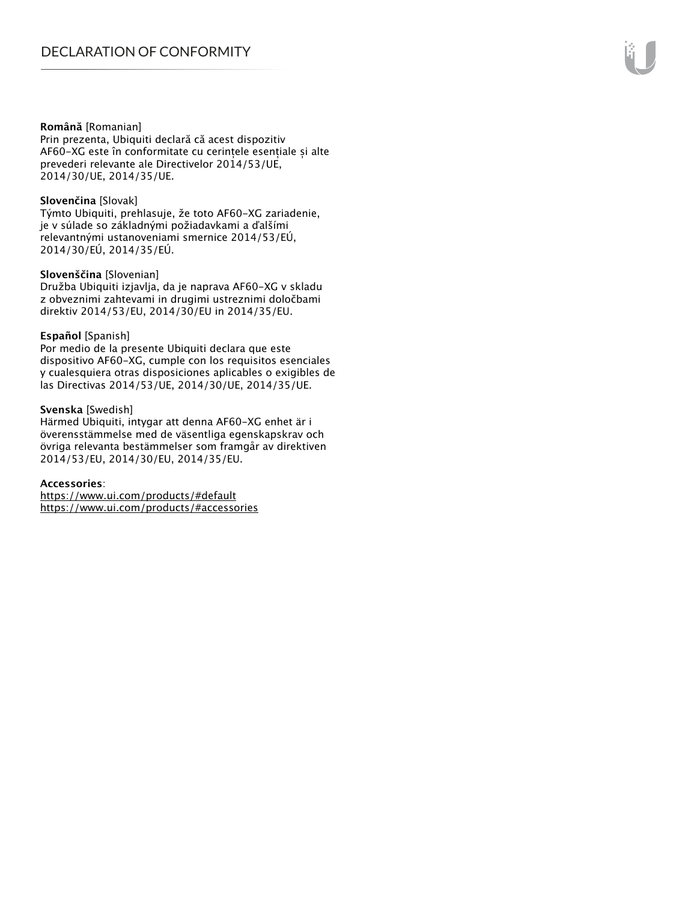#### **Română** [Romanian]

Prin prezenta, Ubiquiti declară că acest dispozitiv AF60-XG este în conformitate cu cerințele esențiale și alte prevederi relevante ale Directivelor 2014/53/UE, 2014/30/UE, 2014/35/UE.

#### **Slovenčina** [Slovak]

Týmto Ubiquiti, prehlasuje, že toto AF60-XG zariadenie, je v súlade so základnými požiadavkami a ďalšími relevantnými ustanoveniami smernice 2014/53/EÚ, 2014/30/EÚ, 2014/35/EÚ.

#### **Slovenščina** [Slovenian]

Družba Ubiquiti izjavlja, da je naprava AF60-XG v skladu z obveznimi zahtevami in drugimi ustreznimi določbami direktiv 2014/53/EU, 2014/30/EU in 2014/35/EU.

#### **Español** [Spanish]

Por medio de la presente Ubiquiti declara que este dispositivo AF60-XG, cumple con los requisitos esenciales y cualesquiera otras disposiciones aplicables o exigibles de las Directivas 2014/53/UE, 2014/30/UE, 2014/35/UE.

#### **Svenska** [Swedish]

Härmed Ubiquiti, intygar att denna AF60-XG enhet är i överensstämmelse med de väsentliga egenskapskrav och övriga relevanta bestämmelser som framgår av direktiven 2014/53/EU, 2014/30/EU, 2014/35/EU.

#### **Accessories**:

https://www.ui.com/products/#default https://www.ui.com/products/#accessories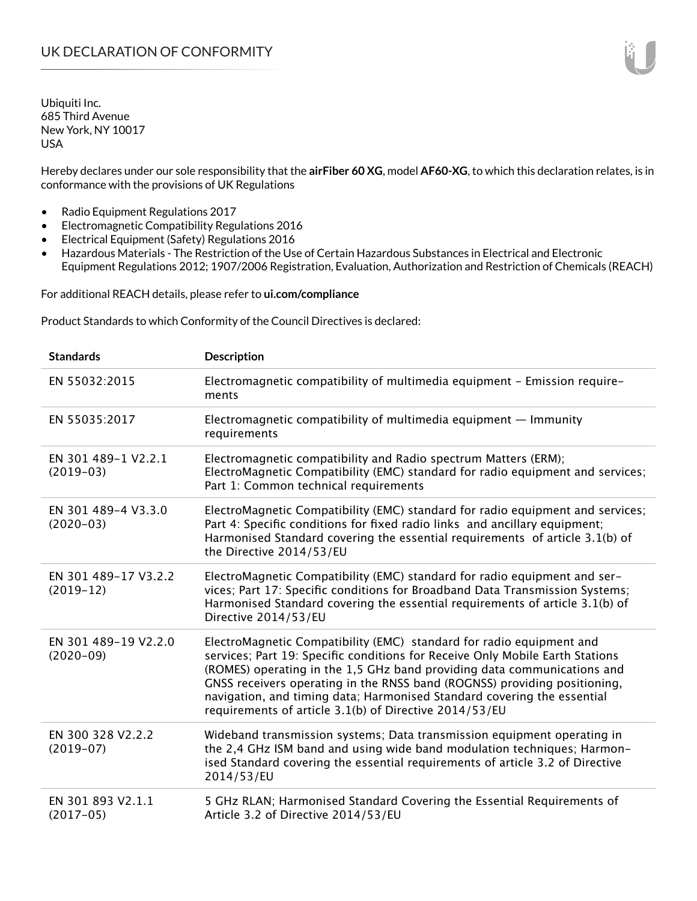Hereby declares under our sole responsibility that the **airFiber 60 XG**, model **AF60-XG**, to which this declaration relates, is in conformance with the provisions of UK Regulations

- Radio Equipment Regulations 2017
- Electromagnetic Compatibility Regulations 2016
- Electrical Equipment (Safety) Regulations 2016
- Hazardous Materials The Restriction of the Use of Certain Hazardous Substances in Electrical and Electronic Equipment Regulations 2012; 1907/2006 Registration, Evaluation, Authorization and Restriction of Chemicals (REACH)

For additional REACH details, please refer to **ui.com/compliance**

Product Standards to which Conformity of the Council Directives is declared:

| <b>Standards</b>                    | <b>Description</b>                                                                                                                                                                                                                                                                                                                                                                                                                                 |
|-------------------------------------|----------------------------------------------------------------------------------------------------------------------------------------------------------------------------------------------------------------------------------------------------------------------------------------------------------------------------------------------------------------------------------------------------------------------------------------------------|
| EN 55032:2015                       | Electromagnetic compatibility of multimedia equipment - Emission require-<br>ments                                                                                                                                                                                                                                                                                                                                                                 |
| EN 55035:2017                       | Electromagnetic compatibility of multimedia equipment $-$ Immunity<br>requirements                                                                                                                                                                                                                                                                                                                                                                 |
| EN 301 489-1 V2.2.1<br>$(2019-03)$  | Electromagnetic compatibility and Radio spectrum Matters (ERM);<br>ElectroMagnetic Compatibility (EMC) standard for radio equipment and services;<br>Part 1: Common technical requirements                                                                                                                                                                                                                                                         |
| EN 301 489-4 V3.3.0<br>$(2020-03)$  | ElectroMagnetic Compatibility (EMC) standard for radio equipment and services;<br>Part 4: Specific conditions for fixed radio links and ancillary equipment;<br>Harmonised Standard covering the essential requirements of article 3.1(b) of<br>the Directive 2014/53/EU                                                                                                                                                                           |
| EN 301 489-17 V3.2.2<br>$(2019-12)$ | ElectroMagnetic Compatibility (EMC) standard for radio equipment and ser-<br>vices; Part 17: Specific conditions for Broadband Data Transmission Systems;<br>Harmonised Standard covering the essential requirements of article 3.1(b) of<br>Directive 2014/53/EU                                                                                                                                                                                  |
| EN 301 489-19 V2.2.0<br>$(2020-09)$ | ElectroMagnetic Compatibility (EMC) standard for radio equipment and<br>services; Part 19: Specific conditions for Receive Only Mobile Earth Stations<br>(ROMES) operating in the 1,5 GHz band providing data communications and<br>GNSS receivers operating in the RNSS band (ROGNSS) providing positioning,<br>navigation, and timing data; Harmonised Standard covering the essential<br>requirements of article 3.1(b) of Directive 2014/53/EU |
| EN 300 328 V2.2.2<br>$(2019-07)$    | Wideband transmission systems; Data transmission equipment operating in<br>the 2,4 GHz ISM band and using wide band modulation techniques; Harmon-<br>ised Standard covering the essential requirements of article 3.2 of Directive<br>2014/53/EU                                                                                                                                                                                                  |
| EN 301 893 V2.1.1<br>$(2017-05)$    | 5 GHz RLAN; Harmonised Standard Covering the Essential Requirements of<br>Article 3.2 of Directive 2014/53/EU                                                                                                                                                                                                                                                                                                                                      |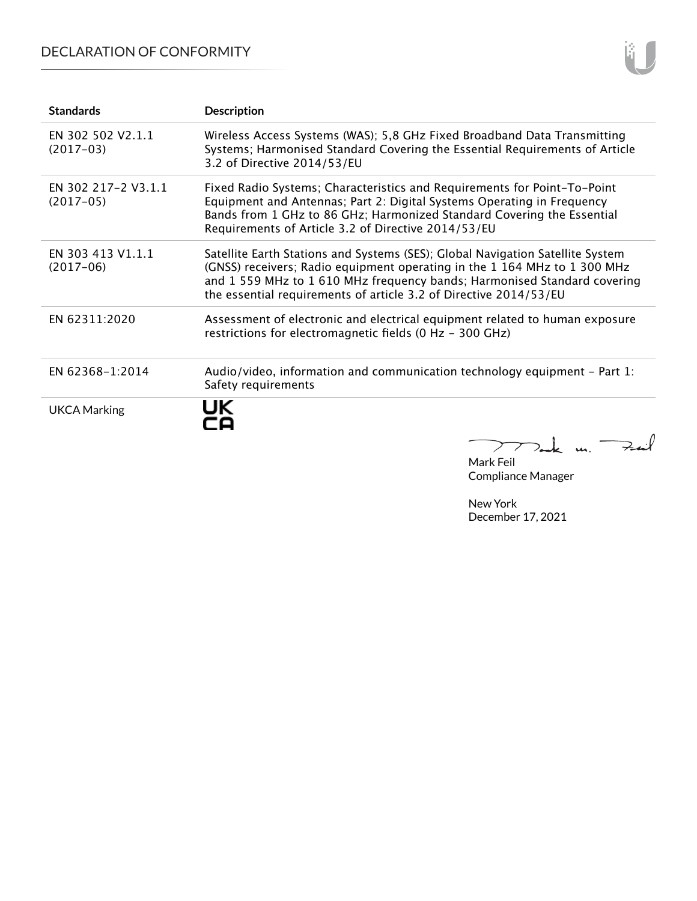## DECLARATION OF CONFORMITY

| <b>Standards</b>                   | <b>Description</b>                                                                                                                                                                                                                                                                                           |
|------------------------------------|--------------------------------------------------------------------------------------------------------------------------------------------------------------------------------------------------------------------------------------------------------------------------------------------------------------|
| EN 302 502 V2.1.1<br>$(2017-03)$   | Wireless Access Systems (WAS); 5,8 GHz Fixed Broadband Data Transmitting<br>Systems; Harmonised Standard Covering the Essential Requirements of Article<br>3.2 of Directive 2014/53/EU                                                                                                                       |
| EN 302 217-2 V3.1.1<br>$(2017-05)$ | Fixed Radio Systems; Characteristics and Requirements for Point-To-Point<br>Equipment and Antennas; Part 2: Digital Systems Operating in Frequency<br>Bands from 1 GHz to 86 GHz; Harmonized Standard Covering the Essential<br>Requirements of Article 3.2 of Directive 2014/53/EU                          |
| EN 303 413 V1.1.1<br>$(2017-06)$   | Satellite Earth Stations and Systems (SES); Global Navigation Satellite System<br>(GNSS) receivers; Radio equipment operating in the 1 164 MHz to 1 300 MHz<br>and 1 559 MHz to 1 610 MHz frequency bands; Harmonised Standard covering<br>the essential requirements of article 3.2 of Directive 2014/53/EU |
| EN 62311:2020                      | Assessment of electronic and electrical equipment related to human exposure<br>restrictions for electromagnetic fields (0 Hz - 300 GHz)                                                                                                                                                                      |
| EN 62368-1:2014                    | Audio/video, information and communication technology equipment $-$ Part 1:<br>Safety requirements                                                                                                                                                                                                           |
| <b>UKCA Marking</b>                | JK                                                                                                                                                                                                                                                                                                           |

Mark Feil Compliance Manager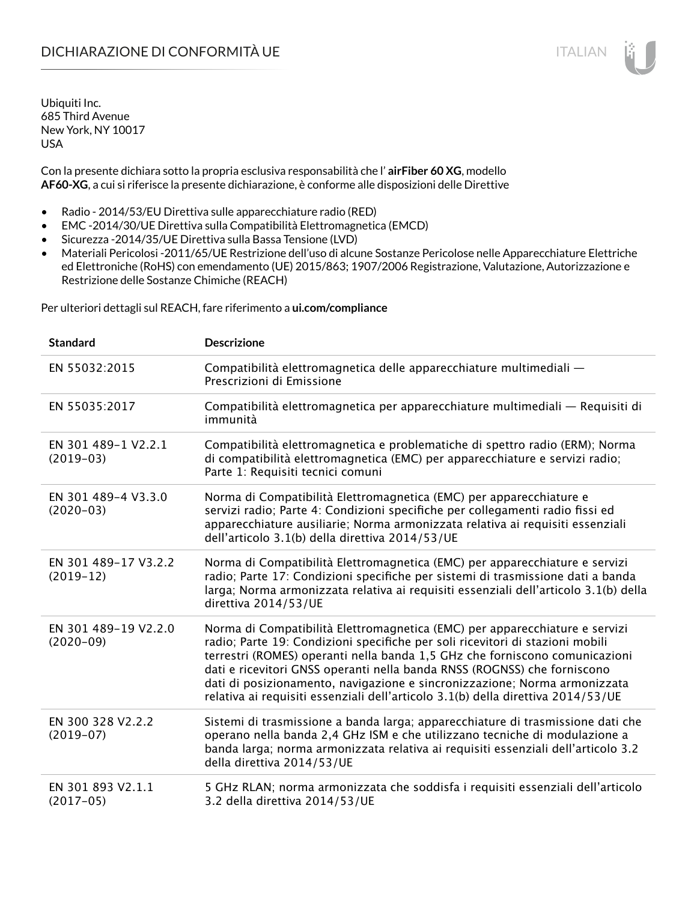Con la presente dichiara sotto la propria esclusiva responsabilità che l' **airFiber 60 XG**, modello **AF60-XG**, a cui si riferisce la presente dichiarazione, è conforme alle disposizioni delle Direttive

- Radio 2014/53/EU Direttiva sulle apparecchiature radio (RED)
- EMC -2014/30/UE Direttiva sulla Compatibilità Elettromagnetica (EMCD)
- Sicurezza -2014/35/UE Direttiva sulla Bassa Tensione (LVD)
- Materiali Pericolosi -2011/65/UE Restrizione dell'uso di alcune Sostanze Pericolose nelle Apparecchiature Elettriche ed Elettroniche (RoHS) con emendamento (UE) 2015/863; 1907/2006 Registrazione, Valutazione, Autorizzazione e Restrizione delle Sostanze Chimiche (REACH)

Per ulteriori dettagli sul REACH, fare riferimento a **ui.com/compliance**

| <b>Standard</b>                     | <b>Descrizione</b>                                                                                                                                                                                                                                                                                                                                                                                                                                                                       |
|-------------------------------------|------------------------------------------------------------------------------------------------------------------------------------------------------------------------------------------------------------------------------------------------------------------------------------------------------------------------------------------------------------------------------------------------------------------------------------------------------------------------------------------|
| EN 55032:2015                       | Compatibilità elettromagnetica delle apparecchiature multimediali -<br>Prescrizioni di Emissione                                                                                                                                                                                                                                                                                                                                                                                         |
| EN 55035:2017                       | Compatibilità elettromagnetica per apparecchiature multimediali — Requisiti di<br>immunità                                                                                                                                                                                                                                                                                                                                                                                               |
| EN 301 489-1 V2.2.1<br>$(2019-03)$  | Compatibilità elettromagnetica e problematiche di spettro radio (ERM); Norma<br>di compatibilità elettromagnetica (EMC) per apparecchiature e servizi radio;<br>Parte 1: Requisiti tecnici comuni                                                                                                                                                                                                                                                                                        |
| EN 301 489-4 V3.3.0<br>$(2020-03)$  | Norma di Compatibilità Elettromagnetica (EMC) per apparecchiature e<br>servizi radio; Parte 4: Condizioni specifiche per collegamenti radio fissi ed<br>apparecchiature ausiliarie; Norma armonizzata relativa ai requisiti essenziali<br>dell'articolo 3.1(b) della direttiva 2014/53/UE                                                                                                                                                                                                |
| EN 301 489-17 V3.2.2<br>$(2019-12)$ | Norma di Compatibilità Elettromagnetica (EMC) per apparecchiature e servizi<br>radio; Parte 17: Condizioni specifiche per sistemi di trasmissione dati a banda<br>larga; Norma armonizzata relativa ai requisiti essenziali dell'articolo 3.1(b) della<br>direttiva 2014/53/UE                                                                                                                                                                                                           |
| EN 301 489-19 V2.2.0<br>$(2020-09)$ | Norma di Compatibilità Elettromagnetica (EMC) per apparecchiature e servizi<br>radio; Parte 19: Condizioni specifiche per soli ricevitori di stazioni mobili<br>terrestri (ROMES) operanti nella banda 1,5 GHz che forniscono comunicazioni<br>dati e ricevitori GNSS operanti nella banda RNSS (ROGNSS) che forniscono<br>dati di posizionamento, navigazione e sincronizzazione; Norma armonizzata<br>relativa ai requisiti essenziali dell'articolo 3.1(b) della direttiva 2014/53/UE |
| EN 300 328 V2.2.2<br>$(2019-07)$    | Sistemi di trasmissione a banda larga; apparecchiature di trasmissione dati che<br>operano nella banda 2,4 GHz ISM e che utilizzano tecniche di modulazione a<br>banda larga; norma armonizzata relativa ai requisiti essenziali dell'articolo 3.2<br>della direttiva 2014/53/UE                                                                                                                                                                                                         |
| EN 301 893 V2.1.1<br>$(2017-05)$    | 5 GHz RLAN; norma armonizzata che soddisfa i requisiti essenziali dell'articolo<br>3.2 della direttiva 2014/53/UE                                                                                                                                                                                                                                                                                                                                                                        |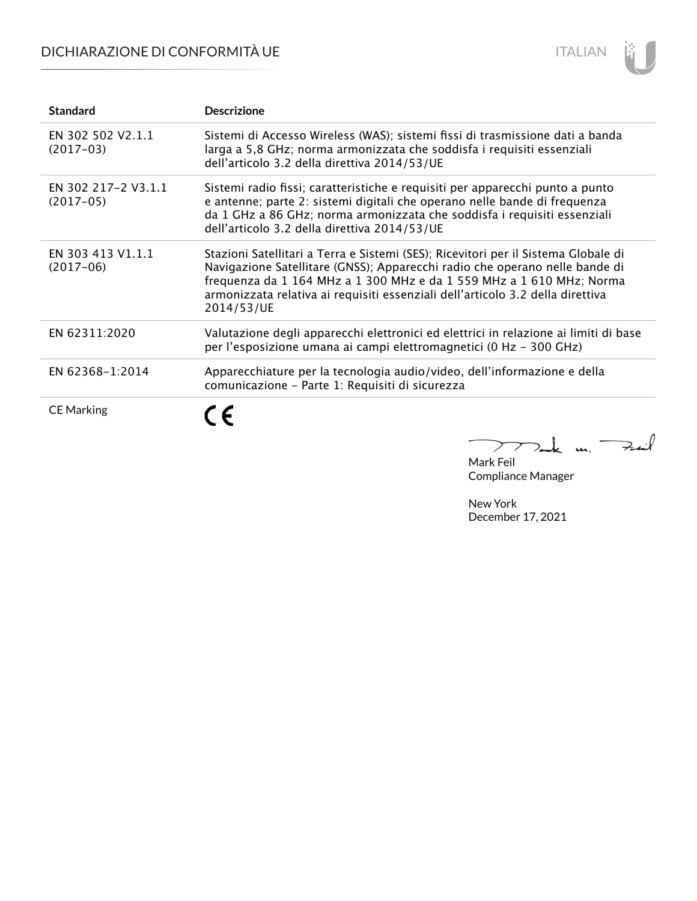## DICHIARAZIONE DI CONFORMITÀ UE



| <b>Standard</b>                    | <b>Descrizione</b>                                                                                                                                                                                                                                                                                                                        |
|------------------------------------|-------------------------------------------------------------------------------------------------------------------------------------------------------------------------------------------------------------------------------------------------------------------------------------------------------------------------------------------|
| EN 302 502 V2.1.1<br>$(2017-03)$   | Sistemi di Accesso Wireless (WAS); sistemi fissi di trasmissione dati a banda<br>larga a 5,8 GHz; norma armonizzata che soddisfa i requisiti essenziali<br>dell'articolo 3.2 della direttiva 2014/53/UE                                                                                                                                   |
| EN 302 217-2 V3.1.1<br>$(2017-05)$ | Sistemi radio fissi; caratteristiche e requisiti per apparecchi punto a punto<br>e antenne; parte 2: sistemi digitali che operano nelle bande di frequenza<br>da 1 GHz a 86 GHz; norma armonizzata che soddisfa i requisiti essenziali<br>dell'articolo 3.2 della direttiva 2014/53/UE                                                    |
| EN 303 413 V1.1.1<br>$(2017-06)$   | Stazioni Satellitari a Terra e Sistemi (SES); Ricevitori per il Sistema Globale di<br>Navigazione Satellitare (GNSS); Apparecchi radio che operano nelle bande di<br>frequenza da 1 164 MHz a 1 300 MHz e da 1 559 MHz a 1 610 MHz; Norma<br>armonizzata relativa ai requisiti essenziali dell'articolo 3.2 della direttiva<br>2014/53/UE |
| EN 62311:2020                      | Valutazione degli apparecchi elettronici ed elettrici in relazione ai limiti di base<br>per l'esposizione umana ai campi elettromagnetici (0 Hz - 300 GHz)                                                                                                                                                                                |
| EN 62368-1:2014                    | Apparecchiature per la tecnologia audio/video, dell'informazione e della<br>comunicazione - Parte 1: Requisiti di sicurezza                                                                                                                                                                                                               |
| <b>CE Marking</b>                  |                                                                                                                                                                                                                                                                                                                                           |

Mark Feil<br>Mark Feil Compliance Manager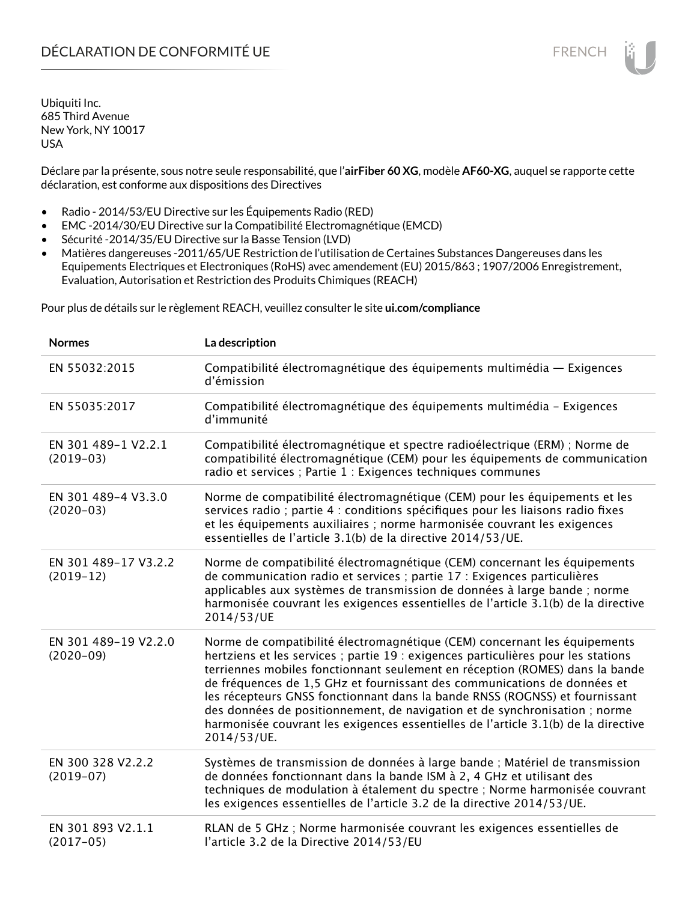Déclare par la présente, sous notre seule responsabilité, que l'**airFiber 60 XG**, modèle **AF60-XG**, auquel se rapporte cette déclaration, est conforme aux dispositions des Directives

- Radio 2014/53/EU Directive sur les Équipements Radio (RED)
- EMC -2014/30/EU Directive sur la Compatibilité Electromagnétique (EMCD)
- Sécurité -2014/35/EU Directive sur la Basse Tension (LVD)
- Matières dangereuses -2011/65/UE Restriction de l'utilisation de Certaines Substances Dangereuses dans les Equipements Electriques et Electroniques (RoHS) avec amendement (EU) 2015/863 ; 1907/2006 Enregistrement, Evaluation, Autorisation et Restriction des Produits Chimiques (REACH)

Pour plus de détails sur le règlement REACH, veuillez consulter le site **ui.com/compliance**

| <b>Normes</b>                       | La description                                                                                                                                                                                                                                                                                                                                                                                                                                                                                                                                                                               |
|-------------------------------------|----------------------------------------------------------------------------------------------------------------------------------------------------------------------------------------------------------------------------------------------------------------------------------------------------------------------------------------------------------------------------------------------------------------------------------------------------------------------------------------------------------------------------------------------------------------------------------------------|
| EN 55032:2015                       | Compatibilité électromagnétique des équipements multimédia — Exigences<br>d'émission                                                                                                                                                                                                                                                                                                                                                                                                                                                                                                         |
| EN 55035:2017                       | Compatibilité électromagnétique des équipements multimédia - Exigences<br>d'immunité                                                                                                                                                                                                                                                                                                                                                                                                                                                                                                         |
| EN 301 489-1 V2.2.1<br>$(2019-03)$  | Compatibilité électromagnétique et spectre radioélectrique (ERM) ; Norme de<br>compatibilité électromagnétique (CEM) pour les équipements de communication<br>radio et services ; Partie 1 : Exigences techniques communes                                                                                                                                                                                                                                                                                                                                                                   |
| EN 301 489-4 V3.3.0<br>$(2020-03)$  | Norme de compatibilité électromagnétique (CEM) pour les équipements et les<br>services radio ; partie 4 : conditions spécifiques pour les liaisons radio fixes<br>et les équipements auxiliaires ; norme harmonisée couvrant les exigences<br>essentielles de l'article 3.1(b) de la directive 2014/53/UE.                                                                                                                                                                                                                                                                                   |
| EN 301 489-17 V3.2.2<br>$(2019-12)$ | Norme de compatibilité électromagnétique (CEM) concernant les équipements<br>de communication radio et services ; partie 17 : Exigences particulières<br>applicables aux systèmes de transmission de données à large bande ; norme<br>harmonisée couvrant les exigences essentielles de l'article 3.1(b) de la directive<br>2014/53/UE                                                                                                                                                                                                                                                       |
| EN 301 489-19 V2.2.0<br>$(2020-09)$ | Norme de compatibilité électromagnétique (CEM) concernant les équipements<br>hertziens et les services ; partie 19 : exigences particulières pour les stations<br>terriennes mobiles fonctionnant seulement en réception (ROMES) dans la bande<br>de fréquences de 1,5 GHz et fournissant des communications de données et<br>les récepteurs GNSS fonctionnant dans la bande RNSS (ROGNSS) et fournissant<br>des données de positionnement, de navigation et de synchronisation ; norme<br>harmonisée couvrant les exigences essentielles de l'article 3.1(b) de la directive<br>2014/53/UE. |
| EN 300 328 V2.2.2<br>$(2019-07)$    | Systèmes de transmission de données à large bande ; Matériel de transmission<br>de données fonctionnant dans la bande ISM à 2, 4 GHz et utilisant des<br>techniques de modulation à étalement du spectre ; Norme harmonisée couvrant<br>les exigences essentielles de l'article 3.2 de la directive 2014/53/UE.                                                                                                                                                                                                                                                                              |
| EN 301 893 V2.1.1<br>$(2017-05)$    | RLAN de 5 GHz ; Norme harmonisée couvrant les exigences essentielles de<br>l'article 3.2 de la Directive 2014/53/EU                                                                                                                                                                                                                                                                                                                                                                                                                                                                          |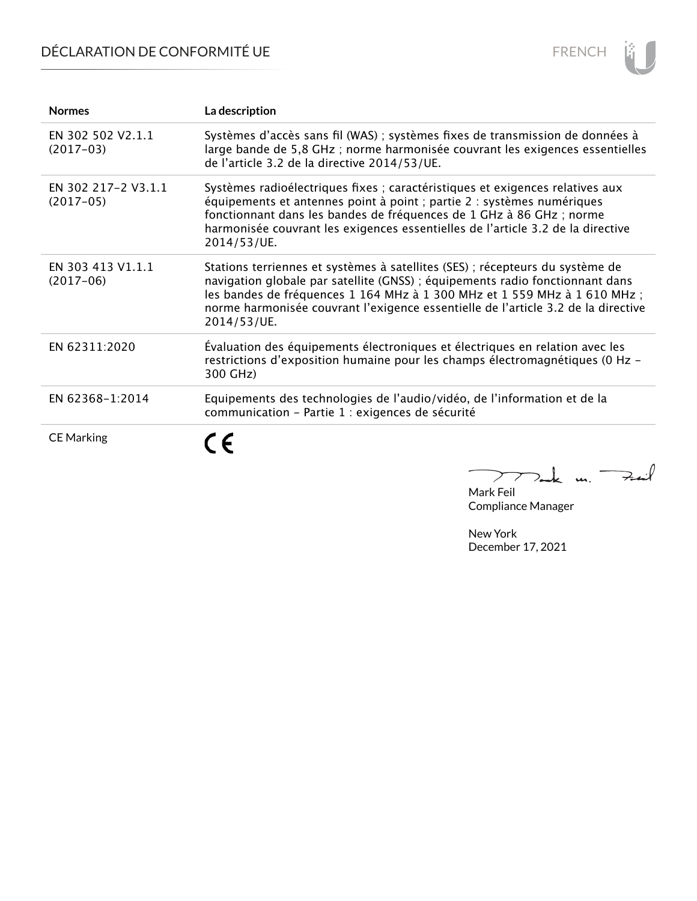# DÉCLARATION DE CONFORMITÉ UE



| <b>Normes</b>                      | La description                                                                                                                                                                                                                                                                                                                                  |
|------------------------------------|-------------------------------------------------------------------------------------------------------------------------------------------------------------------------------------------------------------------------------------------------------------------------------------------------------------------------------------------------|
| EN 302 502 V2.1.1<br>$(2017-03)$   | Systèmes d'accès sans fil (WAS) ; systèmes fixes de transmission de données à<br>large bande de 5,8 GHz; norme harmonisée couvrant les exigences essentielles<br>de l'article 3.2 de la directive 2014/53/UE.                                                                                                                                   |
| EN 302 217-2 V3.1.1<br>$(2017-05)$ | Systèmes radioélectriques fixes ; caractéristiques et exigences relatives aux<br>équipements et antennes point à point ; partie 2 : systèmes numériques<br>fonctionnant dans les bandes de fréquences de 1 GHz à 86 GHz ; norme<br>harmonisée couvrant les exigences essentielles de l'article 3.2 de la directive<br>2014/53/UE.               |
| EN 303 413 V1.1.1<br>$(2017-06)$   | Stations terriennes et systèmes à satellites (SES) ; récepteurs du système de<br>navigation globale par satellite (GNSS) ; équipements radio fonctionnant dans<br>les bandes de fréquences 1 164 MHz à 1 300 MHz et 1 559 MHz à 1 610 MHz ;<br>norme harmonisée couvrant l'exigence essentielle de l'article 3.2 de la directive<br>2014/53/UE. |
| EN 62311:2020                      | Évaluation des équipements électroniques et électriques en relation avec les<br>restrictions d'exposition humaine pour les champs électromagnétiques (0 Hz -<br>300 GHz)                                                                                                                                                                        |
| EN 62368-1:2014                    | Equipements des technologies de l'audio/vidéo, de l'information et de la<br>communication - Partie 1 : exigences de sécurité                                                                                                                                                                                                                    |
| <b>CE Marking</b>                  |                                                                                                                                                                                                                                                                                                                                                 |

Mak m. Fail  $\overline{\phantom{0}}$ 

Mark Feil Compliance Manager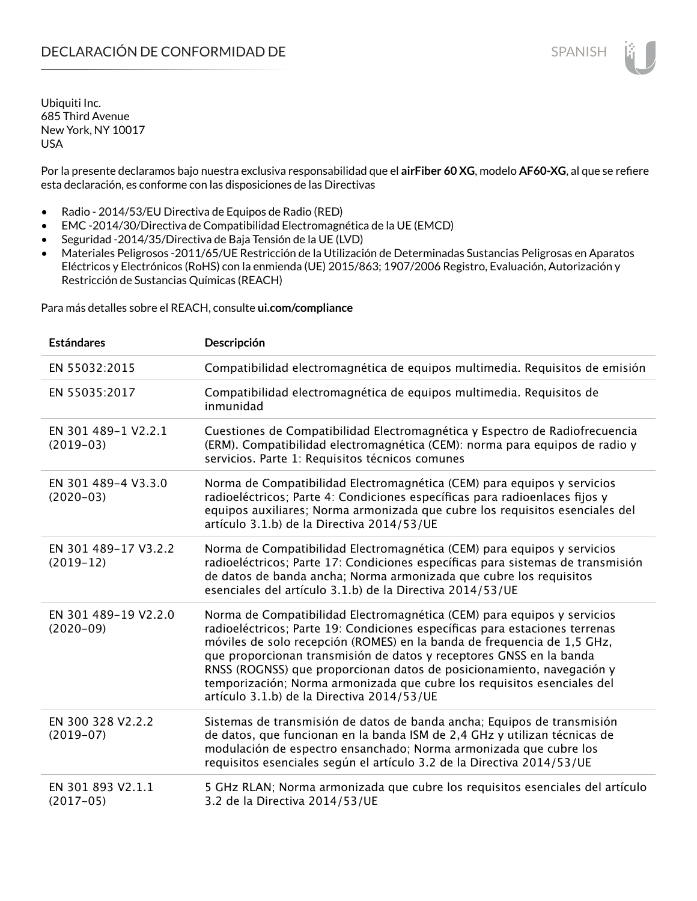Por la presente declaramos bajo nuestra exclusiva responsabilidad que el **airFiber 60 XG**, modelo **AF60-XG**, al que se refiere esta declaración, es conforme con las disposiciones de las Directivas

- Radio 2014/53/EU Directiva de Equipos de Radio (RED)
- EMC -2014/30/Directiva de Compatibilidad Electromagnética de la UE (EMCD)
- Seguridad -2014/35/Directiva de Baja Tensión de la UE (LVD)
- Materiales Peligrosos -2011/65/UE Restricción de la Utilización de Determinadas Sustancias Peligrosas en Aparatos Eléctricos y Electrónicos (RoHS) con la enmienda (UE) 2015/863; 1907/2006 Registro, Evaluación, Autorización y Restricción de Sustancias Químicas (REACH)

Para más detalles sobre el REACH, consulte **ui.com/compliance**

| <b>Estándares</b>                   | Descripción                                                                                                                                                                                                                                                                                                                                                                                                                                                                                                |
|-------------------------------------|------------------------------------------------------------------------------------------------------------------------------------------------------------------------------------------------------------------------------------------------------------------------------------------------------------------------------------------------------------------------------------------------------------------------------------------------------------------------------------------------------------|
| EN 55032:2015                       | Compatibilidad electromagnética de equipos multimedia. Requisitos de emisión                                                                                                                                                                                                                                                                                                                                                                                                                               |
| EN 55035:2017                       | Compatibilidad electromagnética de equipos multimedia. Requisitos de<br>inmunidad                                                                                                                                                                                                                                                                                                                                                                                                                          |
| EN 301 489-1 V2.2.1<br>$(2019-03)$  | Cuestiones de Compatibilidad Electromagnética y Espectro de Radiofrecuencia<br>(ERM). Compatibilidad electromagnética (CEM): norma para equipos de radio y<br>servicios. Parte 1: Requisitos técnicos comunes                                                                                                                                                                                                                                                                                              |
| EN 301 489-4 V3.3.0<br>$(2020-03)$  | Norma de Compatibilidad Electromagnética (CEM) para equipos y servicios<br>radioeléctricos; Parte 4: Condiciones específicas para radioenlaces fijos y<br>equipos auxiliares; Norma armonizada que cubre los requisitos esenciales del<br>artículo 3.1.b) de la Directiva 2014/53/UE                                                                                                                                                                                                                       |
| EN 301 489-17 V3.2.2<br>$(2019-12)$ | Norma de Compatibilidad Electromagnética (CEM) para equipos y servicios<br>radioeléctricos; Parte 17: Condiciones específicas para sistemas de transmisión<br>de datos de banda ancha; Norma armonizada que cubre los requisitos<br>esenciales del artículo 3.1.b) de la Directiva 2014/53/UE                                                                                                                                                                                                              |
| EN 301 489-19 V2.2.0<br>$(2020-09)$ | Norma de Compatibilidad Electromagnética (CEM) para equipos y servicios<br>radioeléctricos; Parte 19: Condiciones específicas para estaciones terrenas<br>móviles de solo recepción (ROMES) en la banda de frequencia de 1,5 GHz,<br>que proporcionan transmisión de datos y receptores GNSS en la banda<br>RNSS (ROGNSS) que proporcionan datos de posicionamiento, navegación y<br>temporización; Norma armonizada que cubre los requisitos esenciales del<br>artículo 3.1.b) de la Directiva 2014/53/UE |
| EN 300 328 V2.2.2<br>$(2019-07)$    | Sistemas de transmisión de datos de banda ancha; Equipos de transmisión<br>de datos, que funcionan en la banda ISM de 2,4 GHz y utilizan técnicas de<br>modulación de espectro ensanchado; Norma armonizada que cubre los<br>requisitos esenciales según el artículo 3.2 de la Directiva 2014/53/UE                                                                                                                                                                                                        |
| EN 301 893 V2.1.1<br>$(2017-05)$    | 5 GHz RLAN; Norma armonizada que cubre los requisitos esenciales del artículo<br>3.2 de la Directiva 2014/53/UE                                                                                                                                                                                                                                                                                                                                                                                            |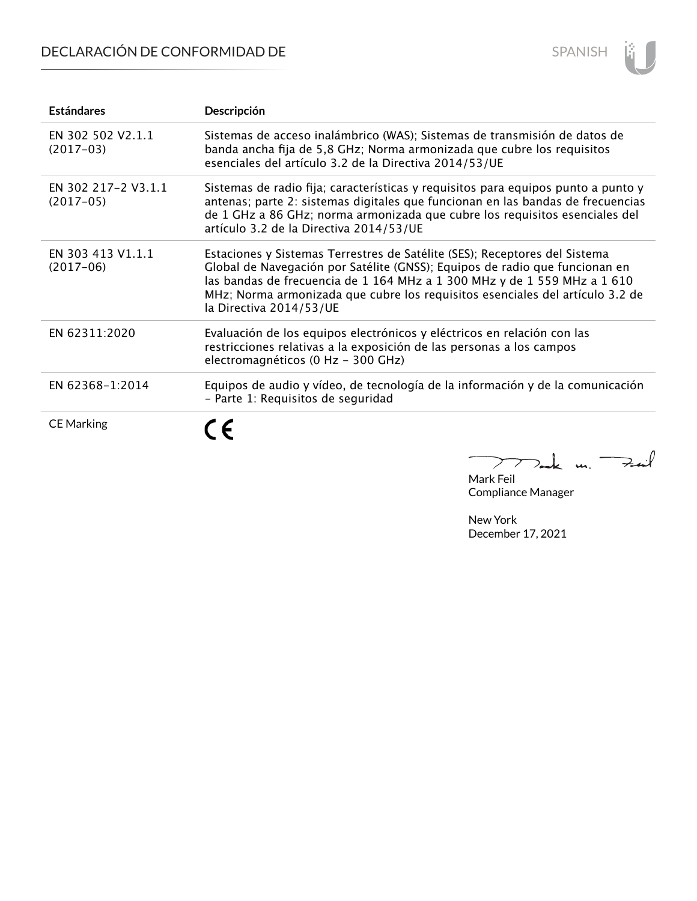# DECLARACIÓN DE CONFORMIDAD DE



| <b>Estándares</b>                  | Descripción                                                                                                                                                                                                                                                                                                                                       |
|------------------------------------|---------------------------------------------------------------------------------------------------------------------------------------------------------------------------------------------------------------------------------------------------------------------------------------------------------------------------------------------------|
| EN 302 502 V2.1.1<br>$(2017-03)$   | Sistemas de acceso inalámbrico (WAS); Sistemas de transmisión de datos de<br>banda ancha fija de 5,8 GHz; Norma armonizada que cubre los requisitos<br>esenciales del artículo 3.2 de la Directiva 2014/53/UE                                                                                                                                     |
| EN 302 217-2 V3.1.1<br>$(2017-05)$ | Sistemas de radio fija; características y requisitos para equipos punto a punto y<br>antenas; parte 2: sistemas digitales que funcionan en las bandas de frecuencias<br>de 1 GHz a 86 GHz; norma armonizada que cubre los requisitos esenciales del<br>artículo 3.2 de la Directiva 2014/53/UE                                                    |
| EN 303 413 V1.1.1<br>$(2017-06)$   | Estaciones y Sistemas Terrestres de Satélite (SES); Receptores del Sistema<br>Global de Navegación por Satélite (GNSS); Equipos de radio que funcionan en<br>las bandas de frecuencia de 1 164 MHz a 1 300 MHz y de 1 559 MHz a 1 610<br>MHz; Norma armonizada que cubre los requisitos esenciales del artículo 3.2 de<br>la Directiva 2014/53/UE |
| EN 62311:2020                      | Evaluación de los equipos electrónicos y eléctricos en relación con las<br>restricciones relativas a la exposición de las personas a los campos<br>electromagnéticos (0 Hz - 300 GHz)                                                                                                                                                             |
| EN 62368-1:2014                    | Equipos de audio y vídeo, de tecnología de la información y de la comunicación<br>- Parte 1: Requisitos de seguridad                                                                                                                                                                                                                              |
| <b>CE Marking</b>                  | Έ<br>n                                                                                                                                                                                                                                                                                                                                            |

 $\overline{a}$  $772$ ak un  $74$ 

Mark Feil Compliance Manager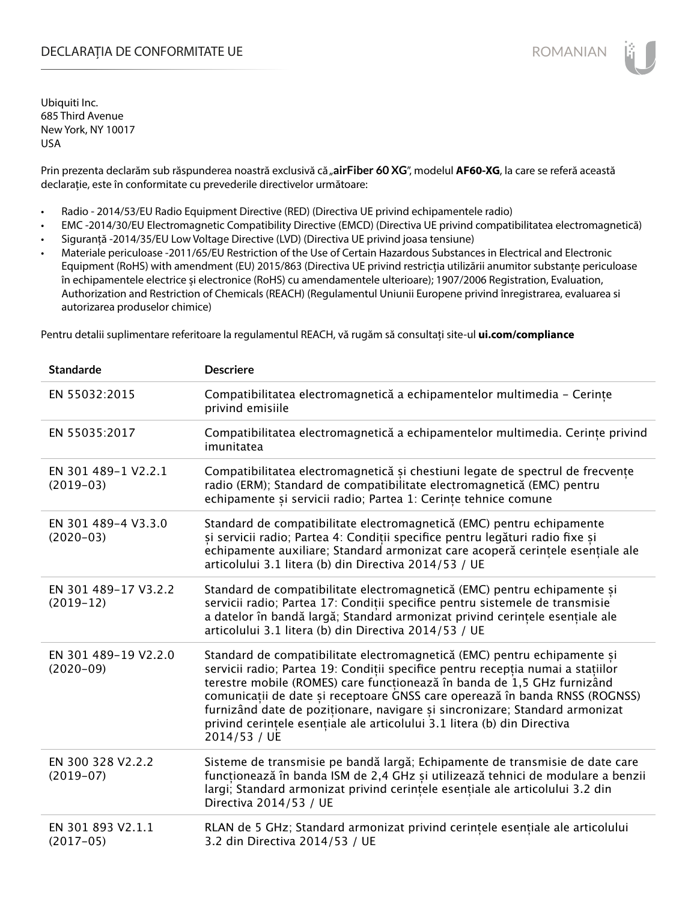### DECLARAȚIA DE CONFORMITATE UE EXECUTE DE ROMANIAN

Ubiquiti Inc. 685 Third Avenue New York, NY 10017 USA

Prin prezenta declarăm sub răspunderea noastră exclusivă că "airFiber 60 XG", modelul AF60-XG, la care se referă această declarație, este în conformitate cu prevederile directivelor următoare:

- Radio 2014/53/EU Radio Equipment Directive (RED) (Directiva UE privind echipamentele radio)
- EMC -2014/30/EU Electromagnetic Compatibility Directive (EMCD) (Directiva UE privind compatibilitatea electromagnetică)
- Siguranță -2014/35/EU Low Voltage Directive (LVD) (Directiva UE privind joasa tensiune)
- Materiale periculoase -2011/65/EU Restriction of the Use of Certain Hazardous Substances in Electrical and Electronic Equipment (RoHS) with amendment (EU) 2015/863 (Directiva UE privind restricția utilizării anumitor substanțe periculoase în echipamentele electrice și electronice (RoHS) cu amendamentele ulterioare); 1907/2006 Registration, Evaluation, Authorization and Restriction of Chemicals (REACH) (Regulamentul Uniunii Europene privind înregistrarea, evaluarea si autorizarea produselor chimice)

Pentru detalii suplimentare referitoare la regulamentul REACH, vă rugăm să consultați site-ul **ui.com/compliance**

| <b>Standarde</b>                      | <b>Descriere</b>                                                                                                                                                                                                                                                                                                                                                                                                                                                                                 |
|---------------------------------------|--------------------------------------------------------------------------------------------------------------------------------------------------------------------------------------------------------------------------------------------------------------------------------------------------------------------------------------------------------------------------------------------------------------------------------------------------------------------------------------------------|
| EN 55032:2015                         | Compatibilitatea electromagnetică a echipamentelor multimedia - Cerințe<br>privind emisiile                                                                                                                                                                                                                                                                                                                                                                                                      |
| EN 55035:2017                         | Compatibilitatea electromagnetică a echipamentelor multimedia. Cerințe privind<br>imunitatea                                                                                                                                                                                                                                                                                                                                                                                                     |
| EN 301 489-1 V2.2.1<br>$(2019-03)$    | Compatibilitatea electromagnetică și chestiuni legate de spectrul de frecvențe<br>radio (ERM); Standard de compatibilitate electromagnetică (EMC) pentru<br>echipamente și servicii radio; Partea 1: Cerințe tehnice comune                                                                                                                                                                                                                                                                      |
| EN 301 489-4 V3.3.0<br>$(2020-03)$    | Standard de compatibilitate electromagnetică (EMC) pentru echipamente<br>și servicii radio; Partea 4: Condiții specifice pentru legături radio fixe și<br>echipamente auxiliare; Standard armonizat care acoperă cerințele esențiale ale<br>articolului 3.1 litera (b) din Directiva 2014/53 / UE                                                                                                                                                                                                |
| EN 301 489-17 V3.2.2<br>$(2019-12)$   | Standard de compatibilitate electromagnetică (EMC) pentru echipamente și<br>servicii radio; Partea 17: Condiții specifice pentru sistemele de transmisie<br>a datelor în bandă largă; Standard armonizat privind cerințele esențiale ale<br>articolului 3.1 litera (b) din Directiva 2014/53 / UE                                                                                                                                                                                                |
| EN 301 489-19 V2.2.0<br>$(2020 - 09)$ | Standard de compatibilitate electromagnetică (EMC) pentru echipamente și<br>servicii radio; Partea 19: Condiții specifice pentru recepția numai a stațiilor<br>terestre mobile (ROMES) care funcționează în banda de 1,5 GHz furnizând<br>comunicații de date și receptoare GNSS care operează în banda RNSS (ROGNSS)<br>furnizând date de poziționare, navigare și sincronizare; Standard armonizat<br>privind cerințele esențiale ale articolului 3.1 litera (b) din Directiva<br>2014/53 / UE |
| EN 300 328 V2.2.2<br>$(2019-07)$      | Sisteme de transmisie pe bandă largă; Echipamente de transmisie de date care<br>funcționează în banda ISM de 2,4 GHz și utilizează tehnici de modulare a benzii<br>largi; Standard armonizat privind cerințele esențiale ale articolului 3.2 din<br>Directiva 2014/53 / UE                                                                                                                                                                                                                       |
| EN 301 893 V2.1.1<br>$(2017-05)$      | RLAN de 5 GHz; Standard armonizat privind cerințele esențiale ale articolului<br>3.2 din Directiva 2014/53 / UE                                                                                                                                                                                                                                                                                                                                                                                  |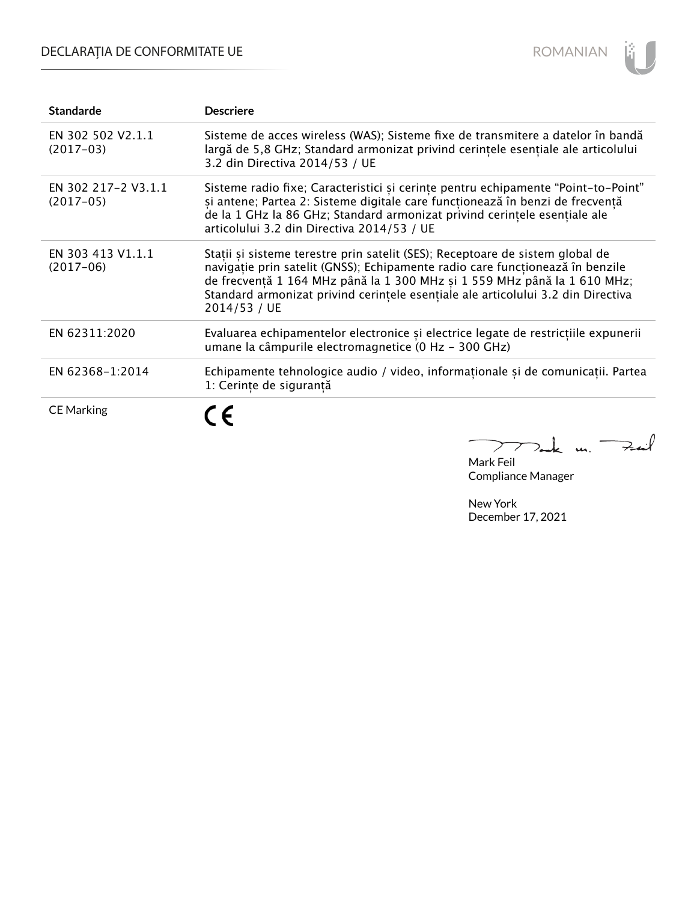## DECLARAȚIA DE CONFORMITATE UE



| <b>Standarde</b>                   | <b>Descriere</b>                                                                                                                                                                                                                                                                                                                               |
|------------------------------------|------------------------------------------------------------------------------------------------------------------------------------------------------------------------------------------------------------------------------------------------------------------------------------------------------------------------------------------------|
| EN 302 502 V2.1.1<br>$(2017-03)$   | Sisteme de acces wireless (WAS); Sisteme fixe de transmitere a datelor în bandă<br>largă de 5,8 GHz; Standard armonizat privind cerințele esențiale ale articolului<br>3.2 din Directiva 2014/53 / UE                                                                                                                                          |
| EN 302 217-2 V3.1.1<br>$(2017-05)$ | Sisteme radio fixe; Caracteristici și cerințe pentru echipamente "Point-to-Point"<br>și antene; Partea 2: Sisteme digitale care funcționează în benzi de frecvență<br>de la 1 GHz la 86 GHz; Standard armonizat privind cerintele esentiale ale<br>articolului 3.2 din Directiva 2014/53 / UE                                                  |
| EN 303 413 V1.1.1<br>$(2017-06)$   | Stații și sisteme terestre prin satelit (SES); Receptoare de sistem global de<br>navigație prin satelit (GNSS); Echipamente radio care funcționează în benzile<br>de frecvență 1 164 MHz până la 1 300 MHz și 1 559 MHz până la 1 610 MHz;<br>Standard armonizat privind cerintele esențiale ale articolului 3.2 din Directiva<br>2014/53 / UE |
| EN 62311:2020                      | Evaluarea echipamentelor electronice și electrice legate de restricțiile expunerii<br>umane la câmpurile electromagnetice (0 Hz - 300 GHz)                                                                                                                                                                                                     |
| EN 62368-1:2014                    | Echipamente tehnologice audio / video, informaționale și de comunicații. Partea<br>1: Cerințe de siguranță                                                                                                                                                                                                                                     |
| <b>CE Marking</b>                  |                                                                                                                                                                                                                                                                                                                                                |

Mark Feil un Zeil Compliance Manager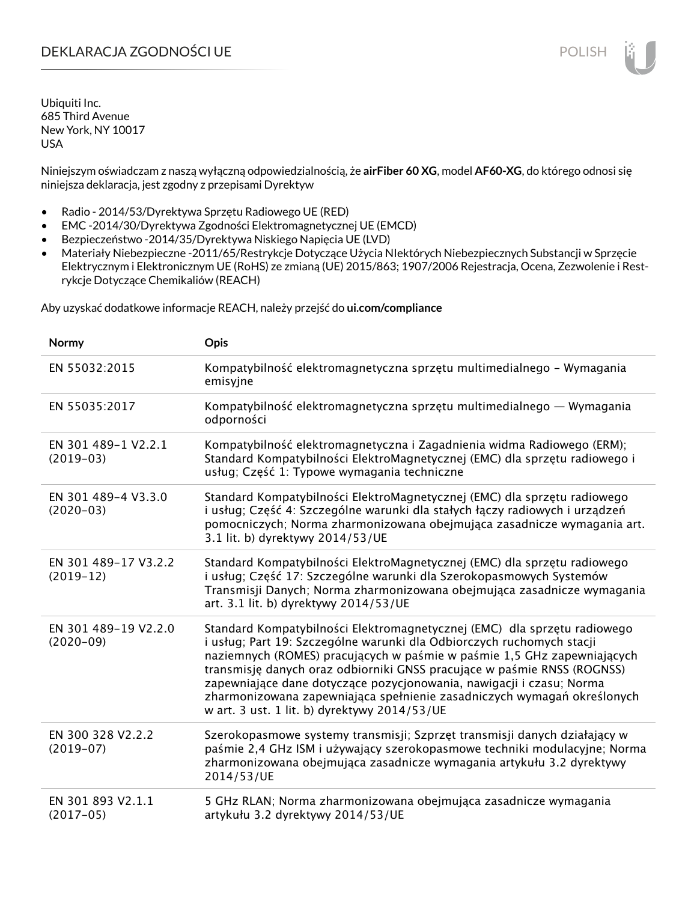### DEKLARACJA ZGODNOŚCI UE POLISH POLISH

Ubiquiti Inc. 685 Third Avenue New York, NY 10017 USA

Niniejszym oświadczam z naszą wyłączną odpowiedzialnością, że **airFiber 60 XG**, model **AF60-XG**, do którego odnosi się niniejsza deklaracja, jest zgodny z przepisami Dyrektyw

- Radio 2014/53/Dyrektywa Sprzętu Radiowego UE (RED)
- EMC -2014/30/Dyrektywa Zgodności Elektromagnetycznej UE (EMCD)
- Bezpieczeństwo -2014/35/Dyrektywa Niskiego Napięcia UE (LVD)
- Materiały Niebezpieczne -2011/65/Restrykcje Dotyczące Użycia NIektórych Niebezpiecznych Substancji w Sprzęcie Elektrycznym i Elektronicznym UE (RoHS) ze zmianą (UE) 2015/863; 1907/2006 Rejestracja, Ocena, Zezwolenie i Restrykcje Dotyczące Chemikaliów (REACH)

Aby uzyskać dodatkowe informacje REACH, należy przejść do **ui.com/compliance**

| Normy                               | Opis                                                                                                                                                                                                                                                                                                                                                                                                                                                                                                       |
|-------------------------------------|------------------------------------------------------------------------------------------------------------------------------------------------------------------------------------------------------------------------------------------------------------------------------------------------------------------------------------------------------------------------------------------------------------------------------------------------------------------------------------------------------------|
| EN 55032:2015                       | Kompatybilność elektromagnetyczna sprzętu multimedialnego – Wymagania<br>emisyjne                                                                                                                                                                                                                                                                                                                                                                                                                          |
| EN 55035:2017                       | Kompatybilność elektromagnetyczna sprzętu multimedialnego — Wymagania<br>odporności                                                                                                                                                                                                                                                                                                                                                                                                                        |
| EN 301 489-1 V2.2.1<br>$(2019-03)$  | Kompatybilność elektromagnetyczna i Zagadnienia widma Radiowego (ERM);<br>Standard Kompatybilności ElektroMagnetycznej (EMC) dla sprzętu radiowego i<br>usług; Część 1: Typowe wymagania techniczne                                                                                                                                                                                                                                                                                                        |
| EN 301 489-4 V3.3.0<br>$(2020-03)$  | Standard Kompatybilności ElektroMagnetycznej (EMC) dla sprzętu radiowego<br>i usług; Część 4: Szczególne warunki dla stałych łączy radiowych i urządzeń<br>pomocniczych; Norma zharmonizowana obejmująca zasadnicze wymagania art.<br>3.1 lit. b) dyrektywy 2014/53/UE                                                                                                                                                                                                                                     |
| EN 301 489-17 V3.2.2<br>$(2019-12)$ | Standard Kompatybilności ElektroMagnetycznej (EMC) dla sprzętu radiowego<br>i usług; Część 17: Szczególne warunki dla Szerokopasmowych Systemów<br>Transmisji Danych; Norma zharmonizowana obejmująca zasadnicze wymagania<br>art. 3.1 lit. b) dyrektywy 2014/53/UE                                                                                                                                                                                                                                        |
| EN 301 489-19 V2.2.0<br>$(2020-09)$ | Standard Kompatybilności Elektromagnetycznej (EMC) dla sprzętu radiowego<br>i usług; Part 19: Szczególne warunki dla Odbiorczych ruchomych stacji<br>naziemnych (ROMES) pracujących w paśmie w paśmie 1,5 GHz zapewniających<br>transmisję danych oraz odbiorniki GNSS pracujące w paśmie RNSS (ROGNSS)<br>zapewniające dane dotyczące pozycjonowania, nawigacji i czasu; Norma<br>zharmonizowana zapewniająca spełnienie zasadniczych wymagań określonych<br>w art. 3 ust. 1 lit. b) dyrektywy 2014/53/UE |
| EN 300 328 V2.2.2<br>$(2019-07)$    | Szerokopasmowe systemy transmisji; Szprzęt transmisji danych działający w<br>paśmie 2,4 GHz ISM i używający szerokopasmowe techniki modulacyjne; Norma<br>zharmonizowana obejmująca zasadnicze wymagania artykułu 3.2 dyrektywy<br>2014/53/UE                                                                                                                                                                                                                                                              |
| EN 301 893 V2.1.1<br>$(2017-05)$    | 5 GHz RLAN; Norma zharmonizowana obejmująca zasadnicze wymagania<br>artykułu 3.2 dyrektywy 2014/53/UE                                                                                                                                                                                                                                                                                                                                                                                                      |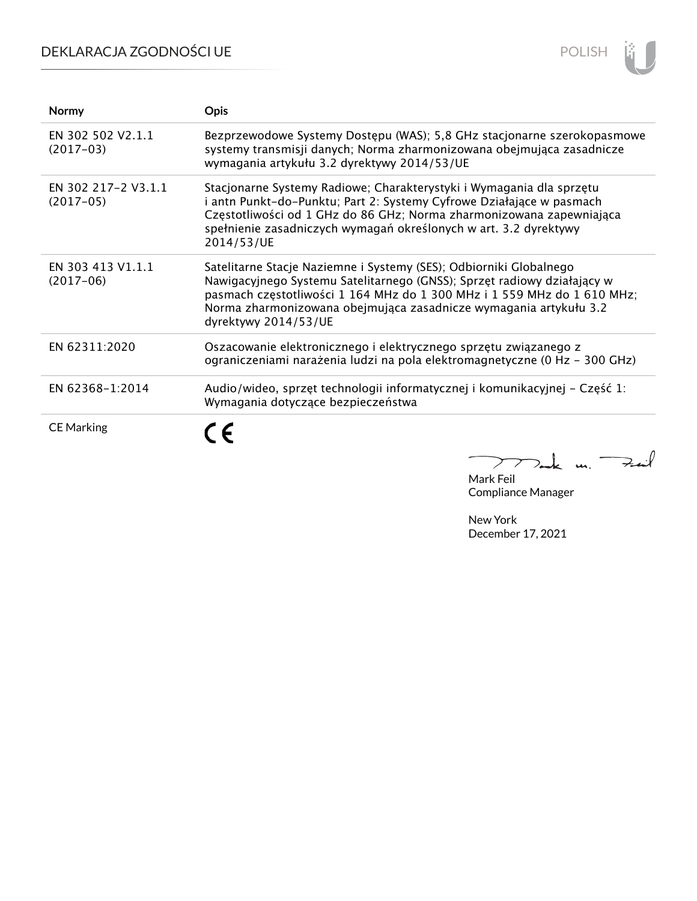## DEKLARACJA ZGODNOŚCI UE



| Normy                              | <b>Opis</b>                                                                                                                                                                                                                                                                                                           |
|------------------------------------|-----------------------------------------------------------------------------------------------------------------------------------------------------------------------------------------------------------------------------------------------------------------------------------------------------------------------|
| EN 302 502 V2.1.1<br>$(2017-03)$   | Bezprzewodowe Systemy Dostępu (WAS); 5,8 GHz stacjonarne szerokopasmowe<br>systemy transmisji danych; Norma zharmonizowana obejmująca zasadnicze<br>wymagania artykułu 3.2 dyrektywy 2014/53/UE                                                                                                                       |
| EN 302 217-2 V3.1.1<br>$(2017-05)$ | Stacjonarne Systemy Radiowe; Charakterystyki i Wymagania dla sprzętu<br>i antn Punkt-do-Punktu; Part 2: Systemy Cyfrowe Działające w pasmach<br>Częstotliwości od 1 GHz do 86 GHz; Norma zharmonizowana zapewniająca<br>spełnienie zasadniczych wymagań określonych w art. 3.2 dyrektywy<br>2014/53/UE                |
| EN 303 413 V1.1.1<br>$(2017-06)$   | Satelitarne Stacje Naziemne i Systemy (SES); Odbiorniki Globalnego<br>Nawigacyjnego Systemu Satelitarnego (GNSS); Sprzęt radiowy działający w<br>pasmach częstotliwości 1 164 MHz do 1 300 MHz i 1 559 MHz do 1 610 MHz;<br>Norma zharmonizowana obejmująca zasadnicze wymagania artykułu 3.2<br>dyrektywy 2014/53/UE |
| EN 62311:2020                      | Oszacowanie elektronicznego i elektrycznego sprzętu związanego z<br>ograniczeniami narażenia ludzi na pola elektromagnetyczne (0 Hz - 300 GHz)                                                                                                                                                                        |
| EN 62368-1:2014                    | Audio/wideo, sprzęt technologii informatycznej i komunikacyjnej – Część 1:<br>Wymagania dotyczące bezpieczeństwa                                                                                                                                                                                                      |
| <b>CE Marking</b>                  |                                                                                                                                                                                                                                                                                                                       |

Mak m. Mark Feil

Compliance Manager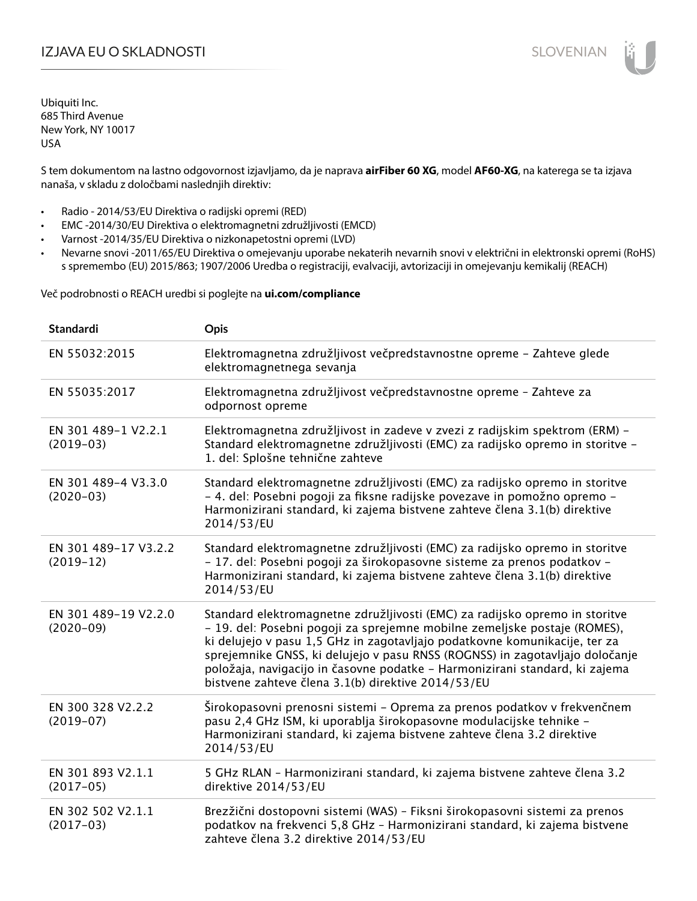## IZJAVA EU O SKLADNOSTI SLOVENIAN

Ubiquiti Inc. 685 Third Avenue New York, NY 10017 USA

S tem dokumentom na lastno odgovornost izjavljamo, da je naprava **airFiber 60 XG**, model **AF60-XG**, na katerega se ta izjava nanaša, v skladu z določbami naslednjih direktiv:

- Radio 2014/53/EU Direktiva o radijski opremi (RED)
- EMC -2014/30/EU Direktiva o elektromagnetni združljivosti (EMCD)
- Varnost -2014/35/EU Direktiva o nizkonapetostni opremi (LVD)
- Nevarne snovi -2011/65/EU Direktiva o omejevanju uporabe nekaterih nevarnih snovi v električni in elektronski opremi (RoHS) s spremembo (EU) 2015/863; 1907/2006 Uredba o registraciji, evalvaciji, avtorizaciji in omejevanju kemikalij (REACH)

Več podrobnosti o REACH uredbi si poglejte na **ui.com/compliance**

| <b>Standardi</b>                    | Opis                                                                                                                                                                                                                                                                                                                                                                                                                                                        |
|-------------------------------------|-------------------------------------------------------------------------------------------------------------------------------------------------------------------------------------------------------------------------------------------------------------------------------------------------------------------------------------------------------------------------------------------------------------------------------------------------------------|
| EN 55032:2015                       | Elektromagnetna združljivost večpredstavnostne opreme - Zahteve glede<br>elektromagnetnega sevanja                                                                                                                                                                                                                                                                                                                                                          |
| EN 55035:2017                       | Elektromagnetna združljivost večpredstavnostne opreme - Zahteve za<br>odpornost opreme                                                                                                                                                                                                                                                                                                                                                                      |
| EN 301 489-1 V2.2.1<br>$(2019-03)$  | Elektromagnetna združljivost in zadeve v zvezi z radijskim spektrom (ERM) -<br>Standard elektromagnetne združljivosti (EMC) za radijsko opremo in storitve -<br>1. del: Splošne tehnične zahteve                                                                                                                                                                                                                                                            |
| EN 301 489-4 V3.3.0<br>$(2020-03)$  | Standard elektromagnetne združljivosti (EMC) za radijsko opremo in storitve<br>- 4. del: Posebni pogoji za fiksne radijske povezave in pomožno opremo -<br>Harmonizirani standard, ki zajema bistvene zahteve člena 3.1(b) direktive<br>2014/53/EU                                                                                                                                                                                                          |
| EN 301 489-17 V3.2.2<br>$(2019-12)$ | Standard elektromagnetne združljivosti (EMC) za radijsko opremo in storitve<br>- 17. del: Posebni pogoji za širokopasovne sisteme za prenos podatkov -<br>Harmonizirani standard, ki zajema bistvene zahteve člena 3.1(b) direktive<br>2014/53/EU                                                                                                                                                                                                           |
| EN 301 489-19 V2.2.0<br>$(2020-09)$ | Standard elektromagnetne združljivosti (EMC) za radijsko opremo in storitve<br>- 19. del: Posebni pogoji za sprejemne mobilne zemeljske postaje (ROMES),<br>ki delujejo v pasu 1,5 GHz in zagotavljajo podatkovne komunikacije, ter za<br>sprejemnike GNSS, ki delujejo v pasu RNSS (ROGNSS) in zagotavljajo določanje<br>položaja, navigacijo in časovne podatke - Harmonizirani standard, ki zajema<br>bistvene zahteve člena 3.1(b) direktive 2014/53/EU |
| EN 300 328 V2.2.2<br>$(2019-07)$    | Širokopasovni prenosni sistemi - Oprema za prenos podatkov v frekvenčnem<br>pasu 2,4 GHz ISM, ki uporablja širokopasovne modulacijske tehnike -<br>Harmonizirani standard, ki zajema bistvene zahteve člena 3.2 direktive<br>2014/53/EU                                                                                                                                                                                                                     |
| EN 301 893 V2.1.1<br>$(2017-05)$    | 5 GHz RLAN - Harmonizirani standard, ki zajema bistvene zahteve člena 3.2<br>direktive 2014/53/EU                                                                                                                                                                                                                                                                                                                                                           |
| EN 302 502 V2.1.1<br>$(2017-03)$    | Brezžični dostopovni sistemi (WAS) - Fiksni širokopasovni sistemi za prenos<br>podatkov na frekvenci 5,8 GHz - Harmonizirani standard, ki zajema bistvene<br>zahteve člena 3.2 direktive 2014/53/EU                                                                                                                                                                                                                                                         |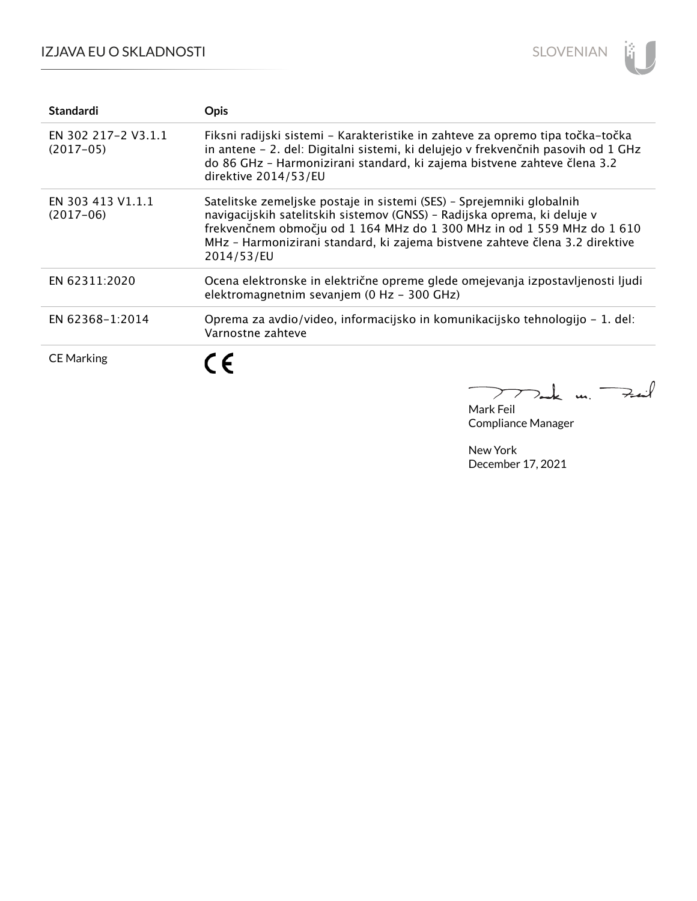## IZJAVA EU O SKLADNOSTI



| <b>Standardi</b>                   | <b>Opis</b>                                                                                                                                                                                                                                                                                                               |
|------------------------------------|---------------------------------------------------------------------------------------------------------------------------------------------------------------------------------------------------------------------------------------------------------------------------------------------------------------------------|
| EN 302 217-2 V3.1.1<br>$(2017-05)$ | Fiksni radijski sistemi – Karakteristike in zahteve za opremo tipa točka-točka<br>in antene - 2. del: Digitalni sistemi, ki delujejo v frekvenčnih pasovih od 1 GHz<br>do 86 GHz - Harmonizirani standard, ki zajema bistvene zahteve člena 3.2<br>direktive 2014/53/EU                                                   |
| EN 303 413 V1.1.1<br>$(2017-06)$   | Satelitske zemeljske postaje in sistemi (SES) - Sprejemniki globalnih<br>navigacijskih satelitskih sistemov (GNSS) - Radijska oprema, ki deluje v<br>frekvenčnem območju od 1 164 MHz do 1 300 MHz in od 1 559 MHz do 1 610<br>MHz - Harmonizirani standard, ki zajema bistvene zahteve člena 3.2 direktive<br>2014/53/EU |
| EN 62311:2020                      | Ocena elektronske in električne opreme glede omejevanja izpostavljenosti ljudi<br>elektromagnetnim sevanjem (0 Hz - 300 GHz)                                                                                                                                                                                              |
| EN 62368-1:2014                    | Oprema za avdio/video, informacijsko in komunikacijsko tehnologijo – 1. del:<br>Varnostne zahteve                                                                                                                                                                                                                         |
| <b>CE Marking</b>                  | 7 -                                                                                                                                                                                                                                                                                                                       |

Ie m. Fail  $\sum$ 

Mark Feil Compliance Manager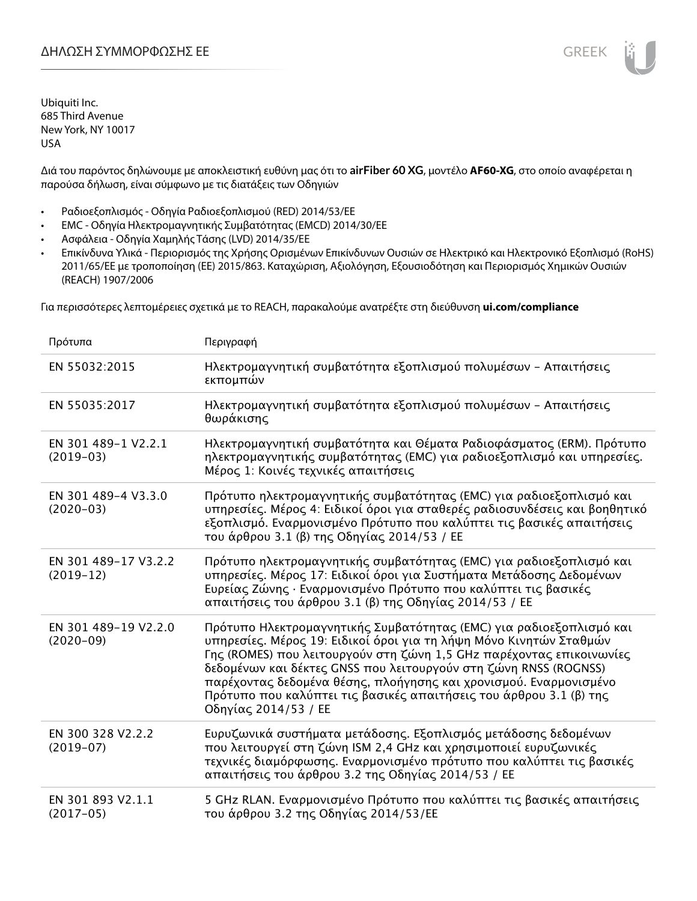Διά του παρόντος δηλώνουμε με αποκλειστική ευθύνη μας ότι το **airFiber 60 XG**, μοντέλο **AF60-XG**, στο οποίο αναφέρεται η παρούσα δήλωση, είναι σύμφωνο με τις διατάξεις των Οδηγιών

- Ραδιοεξοπλισμός Οδηγία Ραδιοεξοπλισμού (RED) 2014/53/ΕΕ
- EMC Οδηγία Ηλεκτρομαγνητικής Συμβατότητας (EMCD) 2014/30/ΕΕ
- Ασφάλεια Οδηγία Χαμηλής Τάσης (LVD) 2014/35/ΕΕ
- Επικίνδυνα Υλικά Περιορισμός της Χρήσης Ορισμένων Επικίνδυνων Ουσιών σε Ηλεκτρικό και Ηλεκτρονικό Εξοπλισμό (RoHS) 2011/65/ΕΕ με τροποποίηση (ΕΕ) 2015/863. Καταχώριση, Αξιολόγηση, Εξουσιοδότηση και Περιορισμός Χημικών Ουσιών (REACH) 1907/2006

Για περισσότερες λεπτομέρειες σχετικά με το REACH, παρακαλούμε ανατρέξτε στη διεύθυνση **ui.com/compliance**

| Πρότυπα                             | Περιγραφή                                                                                                                                                                                                                                                                                                                                                                                                                                                |
|-------------------------------------|----------------------------------------------------------------------------------------------------------------------------------------------------------------------------------------------------------------------------------------------------------------------------------------------------------------------------------------------------------------------------------------------------------------------------------------------------------|
| EN 55032:2015                       | Ηλεκτρομαγνητική συμβατότητα εξοπλισμού πολυμέσων - Απαιτήσεις<br>εκπομπών                                                                                                                                                                                                                                                                                                                                                                               |
| EN 55035:2017                       | Ηλεκτρομαγνητική συμβατότητα εξοπλισμού πολυμέσων - Απαιτήσεις<br>θωράκισης                                                                                                                                                                                                                                                                                                                                                                              |
| EN 301 489-1 V2.2.1<br>$(2019-03)$  | Ηλεκτρομαγνητική συμβατότητα και Θέματα Ραδιοφάσματος (ERM). Πρότυπο<br>ηλεκτρομαγνητικής συμβατότητας (ΕΜC) για ραδιοεξοπλισμό και υπηρεσίες.<br>Μέρος 1: Κοινές τεχνικές απαιτήσεις                                                                                                                                                                                                                                                                    |
| EN 301 489-4 V3.3.0<br>$(2020-03)$  | Πρότυπο ηλεκτρομαγνητικής συμβατότητας (ΕΜC) για ραδιοεξοπλισμό και<br>υπηρεσίες. Μέρος 4: Ειδικοί όροι για σταθερές ραδιοσυνδέσεις και βοηθητικό<br>εξοπλισμό. Εναρμονισμένο Πρότυπο που καλύπτει τις βασικές απαιτήσεις<br>του άρθρου 3.1 (β) της Οδηγίας 2014/53 / ΕΕ                                                                                                                                                                                 |
| EN 301 489-17 V3.2.2<br>$(2019-12)$ | Πρότυπο ηλεκτρομαγνητικής συμβατότητας (ΕΜC) για ραδιοεξοπλισμό και<br>υπηρεσίες. Μέρος 17: Ειδικοί όροι για Συστήματα Μετάδοσης Δεδομένων<br>Ευρείας Ζώνης · Εναρμονισμένο Πρότυπο που καλύπτει τις βασικές<br>απαιτήσεις του άρθρου 3.1 (β) της Οδηγίας 2014/53 / ΕΕ                                                                                                                                                                                   |
| EN 301 489-19 V2.2.0<br>$(2020-09)$ | Πρότυπο Ηλεκτρομαγνητικής Συμβατότητας (ΕΜC) για ραδιοεξοπλισμό και<br>υπηρεσίες. Μέρος 19: Ειδικοί όροι για τη λήψη Μόνο Κινητών Σταθμών<br>Γης (ROMES) που λειτουργούν στη ζώνη 1,5 GHz παρέχοντας επικοινωνίες<br>δεδομένων και δέκτες GNSS που λειτουργούν στη ζώνη RNSS (ROGNSS)<br>παρέχοντας δεδομένα θέσης, πλοήγησης και χρονισμού. Εναρμονισμένο<br>Πρότυπο που καλύπτει τις βασικές απαιτήσεις του άρθρου 3.1 (β) της<br>Οδηγίας 2014/53 / ΕΕ |
| EN 300 328 V2.2.2<br>$(2019-07)$    | Ευρυζωνικά συστήματα μετάδοσης. Εξοπλισμός μετάδοσης δεδομένων<br>που λειτουργεί στη ζώνη ISM 2,4 GHz και χρησιμοποιεί ευρυζωνικές<br>τεχνικές διαμόρφωσης. Εναρμονισμένο πρότυπο που καλύπτει τις βασικές<br>απαιτήσεις του άρθρου 3.2 της Οδηγίας 2014/53 / ΕΕ                                                                                                                                                                                         |
| EN 301 893 V2.1.1<br>$(2017-05)$    | 5 GHz RLAN. Εναρμονισμένο Πρότυπο που καλύπτει τις βασικές απαιτήσεις<br>του άρθρου 3.2 της Οδηγίας 2014/53/ΕΕ                                                                                                                                                                                                                                                                                                                                           |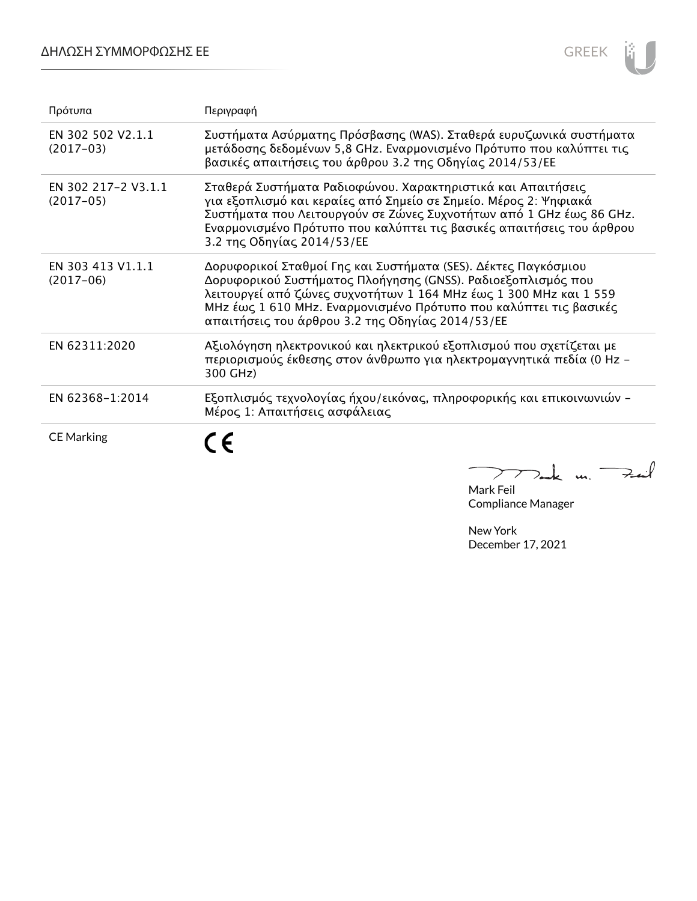### ΔΗΛΩΣΗ ΣΥΜΜΟΡΦΩΣΗΣ ΕΕ



| Πρότυπα                            | Περιγραφή                                                                                                                                                                                                                                                                                                                    |
|------------------------------------|------------------------------------------------------------------------------------------------------------------------------------------------------------------------------------------------------------------------------------------------------------------------------------------------------------------------------|
| EN 302 502 V2.1.1<br>$(2017-03)$   | Συστήματα Ασύρματης Πρόσβασης (WAS). Σταθερά ευρυζωνικά συστήματα<br>μετάδοσης δεδομένων 5,8 GHz. Εναρμονισμένο Πρότυπο που καλύπτει τις<br>βασικές απαιτήσεις του άρθρου 3.2 της Οδηγίας 2014/53/ΕΕ                                                                                                                         |
| EN 302 217-2 V3.1.1<br>$(2017-05)$ | Σταθερά Συστήματα Ραδιοφώνου. Χαρακτηριστικά και Απαιτήσεις<br>για εξοπλισμό και κεραίες από Σημείο σε Σημείο. Μέρος 2: Ψηφιακά<br>Συστήματα που Λειτουργούν σε Ζώνες Συχνοτήτων από 1 GHz έως 86 GHz.<br>Εναρμονισμένο Πρότυπο που καλύπτει τις βασικές απαιτήσεις του άρθρου<br>3.2 της Οδηγίας 2014/53/ΕΕ                 |
| EN 303 413 V1.1.1<br>$(2017-06)$   | Δορυφορικοί Σταθμοί Γης και Συστήματα (SES). Δέκτες Παγκόσμιου<br>Δορυφορικού Συστήματος Πλοήγησης (GNSS). Ραδιοεξοπλισμός που<br>λειτουργεί από ζώνες συχνοτήτων 1 164 MHz έως 1 300 MHz και 1 559<br>MHz έως 1 610 MHz. Εναρμονισμένο Πρότυπο που καλύπτει τις βασικές<br>απαιτήσεις του άρθρου 3.2 της Οδηγίας 2014/53/ΕΕ |
| EN 62311:2020                      | Αξιολόγηση ηλεκτρονικού και ηλεκτρικού εξοπλισμού που σχετίζεται με<br>περιορισμούς έκθεσης στον άνθρωπο για ηλεκτρομαγνητικά πεδία (0 Hz -<br>300 GHz)                                                                                                                                                                      |
| EN 62368-1:2014                    | Εξοπλισμός τεχνολογίας ήχου/εικόνας, πληροφορικής και επικοινωνιών -<br>Μέρος 1: Απαιτήσεις ασφάλειας                                                                                                                                                                                                                        |
| <b>CE Marking</b>                  |                                                                                                                                                                                                                                                                                                                              |

Mark Feil Compliance Manager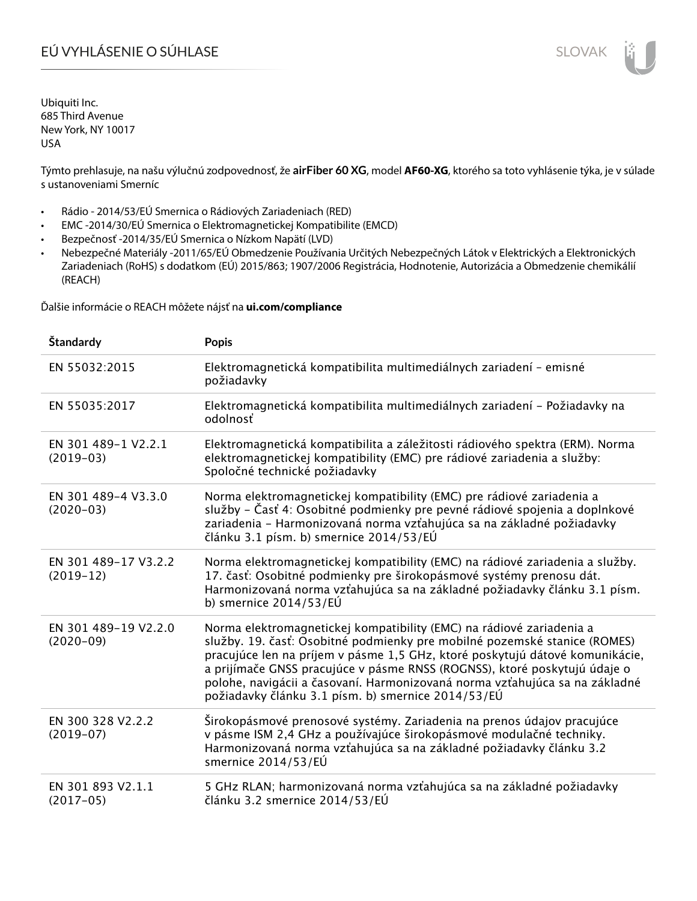# EÚ VYHLÁSENIE O SÚHLASE SLOVAK SLOVAK

Ubiquiti Inc. 685 Third Avenue New York, NY 10017 USA

Týmto prehlasuje, na našu výlučnú zodpovednosť, že **airFiber 60 XG**, model **AF60-XG**, ktorého sa toto vyhlásenie týka, je v súlade s ustanoveniami Smerníc

- Rádio 2014/53/EÚ Smernica o Rádiových Zariadeniach (RED)
- EMC -2014/30/EÚ Smernica o Elektromagnetickej Kompatibilite (EMCD)
- Bezpečnosť -2014/35/EÚ Smernica o Nízkom Napätí (LVD)
- Nebezpečné Materiály -2011/65/EÚ Obmedzenie Používania Určitých Nebezpečných Látok v Elektrických a Elektronických Zariadeniach (RoHS) s dodatkom (EÚ) 2015/863; 1907/2006 Registrácia, Hodnotenie, Autorizácia a Obmedzenie chemikálií (REACH)

Ďalšie informácie o REACH môžete nájsť na **ui.com/compliance**

| Štandardy                           | <b>Popis</b>                                                                                                                                                                                                                                                                                                                                                                                                                                        |
|-------------------------------------|-----------------------------------------------------------------------------------------------------------------------------------------------------------------------------------------------------------------------------------------------------------------------------------------------------------------------------------------------------------------------------------------------------------------------------------------------------|
| EN 55032:2015                       | Elektromagnetická kompatibilita multimediálnych zariadení - emisné<br>požiadavky                                                                                                                                                                                                                                                                                                                                                                    |
| EN 55035:2017                       | Elektromagnetická kompatibilita multimediálnych zariadení – Požiadavky na<br>odolnosť                                                                                                                                                                                                                                                                                                                                                               |
| EN 301 489-1 V2.2.1<br>$(2019-03)$  | Elektromagnetická kompatibilita a záležitosti rádiového spektra (ERM). Norma<br>elektromagnetickej kompatibility (EMC) pre rádiové zariadenia a služby:<br>Spoločné technické požiadavky                                                                                                                                                                                                                                                            |
| EN 301 489-4 V3.3.0<br>$(2020-03)$  | Norma elektromagnetickej kompatibility (EMC) pre rádiové zariadenia a<br>služby – Časť 4: Osobitné podmienky pre pevné rádiové spojenia a doplnkové<br>zariadenia - Harmonizovaná norma vzťahujúca sa na základné požiadavky<br>článku 3.1 písm. b) smernice 2014/53/EÚ                                                                                                                                                                             |
| EN 301 489-17 V3.2.2<br>$(2019-12)$ | Norma elektromagnetickej kompatibility (EMC) na rádiové zariadenia a služby.<br>17. časť: Osobitné podmienky pre širokopásmové systémy prenosu dát.<br>Harmonizovaná norma vzťahujúca sa na základné požiadavky článku 3.1 písm.<br>b) smernice $2014/53/EU$                                                                                                                                                                                        |
| EN 301 489-19 V2.2.0<br>$(2020-09)$ | Norma elektromagnetickej kompatibility (EMC) na rádiové zariadenia a<br>služby. 19. časť: Osobitné podmienky pre mobilné pozemské stanice (ROMES)<br>pracujúce len na príjem v pásme 1,5 GHz, ktoré poskytujú dátové komunikácie,<br>a prijímače GNSS pracujúce v pásme RNSS (ROGNSS), ktoré poskytujú údaje o<br>polohe, navigácii a časovaní. Harmonizovaná norma vzťahujúca sa na základné<br>požiadavky článku 3.1 písm. b) smernice 2014/53/EÚ |
| EN 300 328 V2.2.2<br>$(2019-07)$    | Širokopásmové prenosové systémy. Zariadenia na prenos údajov pracujúce<br>v pásme ISM 2,4 GHz a používajúce širokopásmové modulačné techniky.<br>Harmonizovaná norma vzťahujúca sa na základné požiadavky článku 3.2<br>smernice 2014/53/EÚ                                                                                                                                                                                                         |
| EN 301 893 V2.1.1<br>$(2017-05)$    | 5 GHz RLAN; harmonizovaná norma vzťahujúca sa na základné požiadavky<br>článku 3.2 smernice 2014/53/EÚ                                                                                                                                                                                                                                                                                                                                              |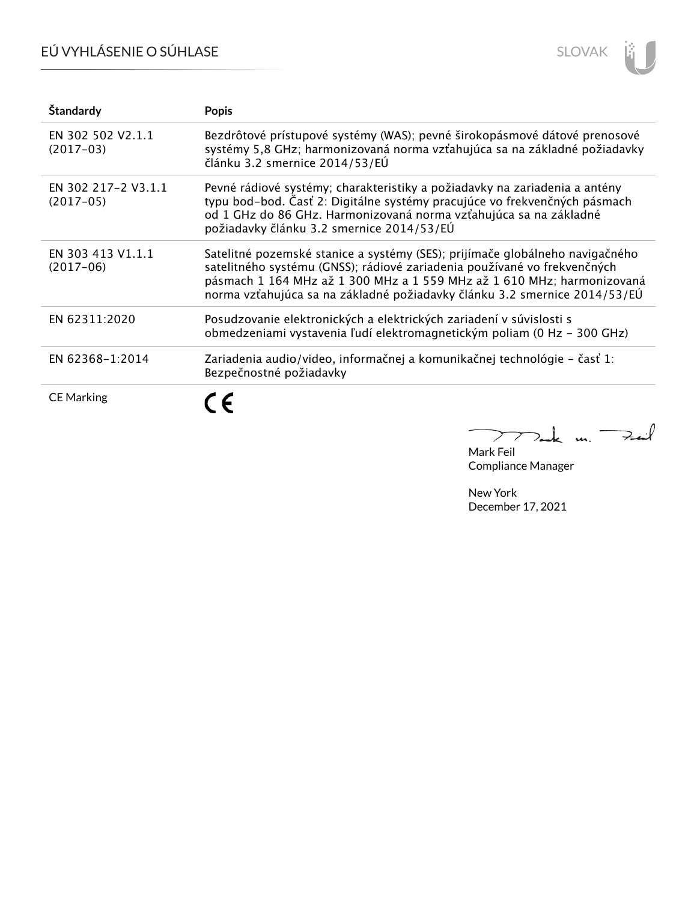# EÚ VYHLÁSENIE O SÚHLASE



| Štandardy                          | <b>Popis</b>                                                                                                                                                                                                                                                                                                    |
|------------------------------------|-----------------------------------------------------------------------------------------------------------------------------------------------------------------------------------------------------------------------------------------------------------------------------------------------------------------|
| EN 302 502 V2.1.1<br>$(2017-03)$   | Bezdrôtové prístupové systémy (WAS); pevné širokopásmové dátové prenosové<br>systémy 5,8 GHz; harmonizovaná norma vzťahujúca sa na základné požiadavky<br>článku 3.2 smernice 2014/53/EÚ                                                                                                                        |
| EN 302 217-2 V3.1.1<br>$(2017-05)$ | Pevné rádiové systémy; charakteristiky a požiadavky na zariadenia a antény<br>typu bod-bod. Časť 2: Digitálne systémy pracujúce vo frekvenčných pásmach<br>od 1 GHz do 86 GHz. Harmonizovaná norma vzťahujúca sa na základné<br>požiadavky článku 3.2 smernice 2014/53/EÚ                                       |
| EN 303 413 V1.1.1<br>$(2017-06)$   | Satelitné pozemské stanice a systémy (SES); prijímače globálneho navigačného<br>satelitného systému (GNSS); rádiové zariadenia používané vo frekvenčných<br>pásmach 1 164 MHz až 1 300 MHz a 1 559 MHz až 1 610 MHz; harmonizovaná<br>norma vzťahujúca sa na základné požiadavky článku 3.2 smernice 2014/53/EÚ |
| EN 62311:2020                      | Posudzovanie elektronických a elektrických zariadení v súvislosti s<br>obmedzeniami vystavenia ľudí elektromagnetickým poliam (0 Hz - 300 GHz)                                                                                                                                                                  |
| EN 62368-1:2014                    | Zariadenia audio/video, informačnej a komunikačnej technológie – časť 1:<br>Bezpečnostné požiadavky                                                                                                                                                                                                             |
| <b>CE Marking</b>                  |                                                                                                                                                                                                                                                                                                                 |

m. Fail  $\overline{\phantom{0}}$  $\sum$ 

Mark Feil Compliance Manager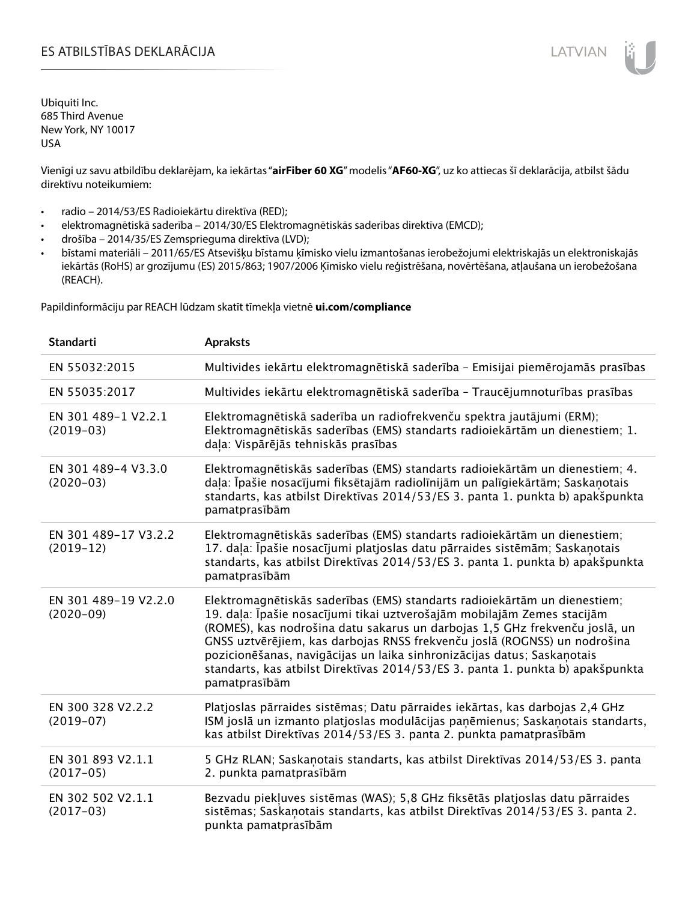### ES ATBILSTĪBAS DEKLARĀCIJA LATVIAN

Ubiquiti Inc. 685 Third Avenue New York, NY 10017 USA

Vienīgi uz savu atbildību deklarējam, ka iekārtas "**airFiber 60 XG**" modelis "**AF60-XG**", uz ko attiecas šī deklarācija, atbilst šādu direktīvu noteikumiem:

- radio 2014/53/ES Radioiekārtu direktīva (RED);
- elektromagnētiskā saderība 2014/30/ES Elektromagnētiskās saderības direktīva (EMCD);
- drošība 2014/35/ES Zemsprieguma direktīva (LVD);
- bīstami materiāli 2011/65/ES Atsevišķu bīstamu ķīmisko vielu izmantošanas ierobežojumi elektriskajās un elektroniskajās iekārtās (RoHS) ar grozījumu (ES) 2015/863; 1907/2006 Ķīmisko vielu reģistrēšana, novērtēšana, atļaušana un ierobežošana (REACH).

Papildinformāciju par REACH lūdzam skatīt tīmekļa vietnē **ui.com/compliance**

| <b>Standarti</b>                    | <b>Apraksts</b>                                                                                                                                                                                                                                                                                                                                                                                                                                                                                |
|-------------------------------------|------------------------------------------------------------------------------------------------------------------------------------------------------------------------------------------------------------------------------------------------------------------------------------------------------------------------------------------------------------------------------------------------------------------------------------------------------------------------------------------------|
| EN 55032:2015                       | Multivides iekārtu elektromagnētiskā saderība - Emisijai piemērojamās prasības                                                                                                                                                                                                                                                                                                                                                                                                                 |
| EN 55035:2017                       | Multivides iekārtu elektromagnētiskā saderība - Traucējumnoturības prasības                                                                                                                                                                                                                                                                                                                                                                                                                    |
| EN 301 489-1 V2.2.1<br>$(2019-03)$  | Elektromagnētiskā saderība un radiofrekvenču spektra jautājumi (ERM);<br>Elektromagnētiskās saderības (EMS) standarts radioiekārtām un dienestiem; 1.<br>daļa: Vispārējās tehniskās prasības                                                                                                                                                                                                                                                                                                   |
| EN 301 489-4 V3.3.0<br>$(2020-03)$  | Elektromagnētiskās saderības (EMS) standarts radioiekārtām un dienestiem; 4.<br>daļa: Īpašie nosacījumi fiksētajām radiolīnijām un palīgiekārtām; Saskaņotais<br>standarts, kas atbilst Direktīvas 2014/53/ES 3. panta 1. punkta b) apakšpunkta<br>pamatprasībām                                                                                                                                                                                                                               |
| EN 301 489-17 V3.2.2<br>$(2019-12)$ | Elektromagnētiskās saderības (EMS) standarts radioiekārtām un dienestiem;<br>17. daļa: Īpašie nosacījumi platjoslas datu pārraides sistēmām; Saskaņotais<br>standarts, kas atbilst Direktīvas 2014/53/ES 3. panta 1. punkta b) apakšpunkta<br>pamatprasībām                                                                                                                                                                                                                                    |
| EN 301 489-19 V2.2.0<br>$(2020-09)$ | Elektromagnētiskās saderības (EMS) standarts radioiekārtām un dienestiem;<br>19. daļa: Īpašie nosacījumi tikai uztverošajām mobilajām Zemes stacijām<br>(ROMES), kas nodrošina datu sakarus un darbojas 1,5 GHz frekvenču joslā, un<br>GNSS uztvērējiem, kas darbojas RNSS frekvenču joslā (ROGNSS) un nodrošina<br>pozicionēšanas, navigācijas un laika sinhronizācijas datus; Saskaņotais<br>standarts, kas atbilst Direktīvas 2014/53/ES 3. panta 1. punkta b) apakšpunkta<br>pamatprasībām |
| EN 300 328 V2.2.2<br>$(2019-07)$    | Platjoslas pārraides sistēmas; Datu pārraides iekārtas, kas darbojas 2,4 GHz<br>ISM joslā un izmanto platjoslas modulācijas paņēmienus; Saskaņotais standarts,<br>kas atbilst Direktīvas 2014/53/ES 3. panta 2. punkta pamatprasībām                                                                                                                                                                                                                                                           |
| EN 301 893 V2.1.1<br>$(2017-05)$    | 5 GHz RLAN; Saskanotais standarts, kas atbilst Direktīvas 2014/53/ES 3. panta<br>2. punkta pamatprasībām                                                                                                                                                                                                                                                                                                                                                                                       |
| EN 302 502 V2.1.1<br>$(2017-03)$    | Bezvadu piekļuves sistēmas (WAS); 5,8 GHz fiksētās platjoslas datu pārraides<br>sistēmas; Saskaņotais standarts, kas atbilst Direktīvas 2014/53/ES 3. panta 2.<br>punkta pamatprasībām                                                                                                                                                                                                                                                                                                         |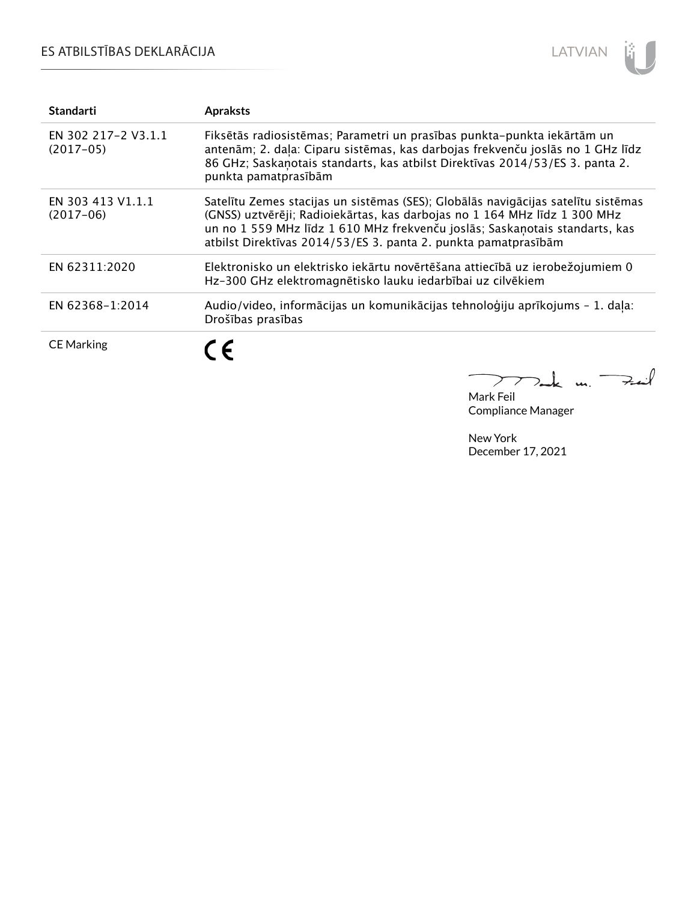## ES ATBILSTĪBAS DEKLARĀCIJA



| <b>Standarti</b>                   | <b>Apraksts</b>                                                                                                                                                                                                                                                                                                 |
|------------------------------------|-----------------------------------------------------------------------------------------------------------------------------------------------------------------------------------------------------------------------------------------------------------------------------------------------------------------|
| EN 302 217-2 V3.1.1<br>$(2017-05)$ | Fiksētās radiosistēmas; Parametri un prasības punkta-punkta iekārtām un<br>antenām; 2. daļa: Ciparu sistēmas, kas darbojas frekvenču joslās no 1 GHz līdz<br>86 GHz; Saskanotais standarts, kas atbilst Direktīvas 2014/53/ES 3. panta 2.<br>punkta pamatprasībām                                               |
| EN 303 413 V1.1.1<br>$(2017-06)$   | Satelītu Zemes stacijas un sistēmas (SES); Globālās navigācijas satelītu sistēmas<br>(GNSS) uztvērēji; Radioiekārtas, kas darbojas no 1 164 MHz līdz 1 300 MHz<br>un no 1 559 MHz līdz 1 610 MHz frekvenču joslās; Saskaņotais standarts, kas<br>atbilst Direktīvas 2014/53/ES 3. panta 2. punkta pamatprasībām |
| EN 62311:2020                      | Elektronisko un elektrisko iekārtu novērtēšana attiecībā uz ierobežojumiem 0<br>Hz-300 GHz elektromagnētisko lauku iedarbībai uz cilvēkiem                                                                                                                                                                      |
| EN 62368-1:2014                    | Audio/video, informācijas un komunikācijas tehnoloģiju aprīkojums - 1. daļa:<br>Drošības prasības                                                                                                                                                                                                               |
| <b>CE Marking</b>                  | $\epsilon$                                                                                                                                                                                                                                                                                                      |

Mark Feil un Feil 

Compliance Manager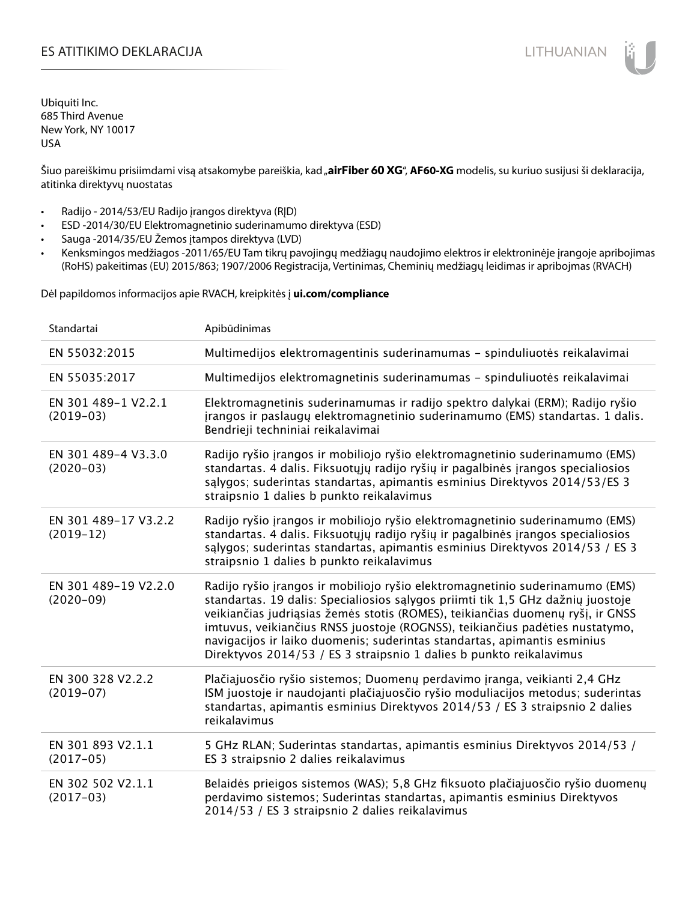### ES ATITIKIMO DEKLARACIJA NA SATITIKIMO DEKLARACIJA NA SATITIKIMO DEKLARACIJA NA SATITIKIMO DE KLARACIJA NA SATI

Ubiquiti Inc. 685 Third Avenue New York, NY 10017 USA

Šiuo pareiškimu prisiimdami visą atsakomybe pareiškia, kad "**airFiber 60 XG", AF60-XG** modelis, su kuriuo susijusi ši deklaracija, atitinka direktyvų nuostatas

- Radijo 2014/53/EU Radijo įrangos direktyva (RĮD)
- ESD -2014/30/EU Elektromagnetinio suderinamumo direktyva (ESD)
- Sauga -2014/35/EU Žemos įtampos direktyva (LVD)
- Kenksmingos medžiagos -2011/65/EU Tam tikrų pavojingų medžiagų naudojimo elektros ir elektroninėje įrangoje apribojimas (RoHS) pakeitimas (EU) 2015/863; 1907/2006 Registracija, Vertinimas, Cheminių medžiagų leidimas ir apribojmas (RVACH)

Dėl papildomos informacijos apie RVACH, kreipkitės į **ui.com/compliance**

| Standartai                            | Apibūdinimas                                                                                                                                                                                                                                                                                                                                                                                                                                                                         |
|---------------------------------------|--------------------------------------------------------------------------------------------------------------------------------------------------------------------------------------------------------------------------------------------------------------------------------------------------------------------------------------------------------------------------------------------------------------------------------------------------------------------------------------|
| EN 55032:2015                         | Multimedijos elektromagentinis suderinamumas - spinduliuotės reikalavimai                                                                                                                                                                                                                                                                                                                                                                                                            |
| EN 55035:2017                         | Multimedijos elektromagnetinis suderinamumas - spinduliuotės reikalavimai                                                                                                                                                                                                                                                                                                                                                                                                            |
| EN 301 489-1 V2.2.1<br>$(2019-03)$    | Elektromagnetinis suderinamumas ir radijo spektro dalykai (ERM); Radijo ryšio<br>jrangos ir paslaugų elektromagnetinio suderinamumo (EMS) standartas. 1 dalis.<br>Bendrieji techniniai reikalavimai                                                                                                                                                                                                                                                                                  |
| EN 301 489-4 V3.3.0<br>$(2020-03)$    | Radijo ryšio įrangos ir mobiliojo ryšio elektromagnetinio suderinamumo (EMS)<br>standartas. 4 dalis. Fiksuotųjų radijo ryšių ir pagalbinės įrangos specialiosios<br>salygos; suderintas standartas, apimantis esminius Direktyvos 2014/53/ES 3<br>straipsnio 1 dalies b punkto reikalavimus                                                                                                                                                                                          |
| EN 301 489-17 V3.2.2<br>$(2019-12)$   | Radijo ryšio įrangos ir mobiliojo ryšio elektromagnetinio suderinamumo (EMS)<br>standartas. 4 dalis. Fiksuotųjų radijo ryšių ir pagalbinės įrangos specialiosios<br>salygos; suderintas standartas, apimantis esminius Direktyvos 2014/53 / ES 3<br>straipsnio 1 dalies b punkto reikalavimus                                                                                                                                                                                        |
| EN 301 489-19 V2.2.0<br>$(2020 - 09)$ | Radijo ryšio įrangos ir mobiliojo ryšio elektromagnetinio suderinamumo (EMS)<br>standartas. 19 dalis: Specialiosios sąlygos priimti tik 1,5 GHz dažnių juostoje<br>veikiančias judriąsias žemės stotis (ROMES), teikiančias duomenų ryšį, ir GNSS<br>imtuvus, veikiančius RNSS juostoje (ROGNSS), teikiančius padėties nustatymo,<br>navigacijos ir laiko duomenis; suderintas standartas, apimantis esminius<br>Direktyvos 2014/53 / ES 3 straipsnio 1 dalies b punkto reikalavimus |
| EN 300 328 V2.2.2<br>$(2019-07)$      | Plačiajuosčio ryšio sistemos; Duomenų perdavimo įranga, veikianti 2,4 GHz<br>ISM juostoje ir naudojanti plačiajuosčio ryšio moduliacijos metodus; suderintas<br>standartas, apimantis esminius Direktyvos 2014/53 / ES 3 straipsnio 2 dalies<br>reikalavimus                                                                                                                                                                                                                         |
| EN 301 893 V2.1.1<br>$(2017-05)$      | 5 GHz RLAN; Suderintas standartas, apimantis esminius Direktyvos 2014/53 /<br>ES 3 straipsnio 2 dalies reikalavimus                                                                                                                                                                                                                                                                                                                                                                  |
| EN 302 502 V2.1.1<br>$(2017-03)$      | Belaidės prieigos sistemos (WAS); 5,8 GHz fiksuoto plačiajuosčio ryšio duomenų<br>perdavimo sistemos; Suderintas standartas, apimantis esminius Direktyvos<br>2014/53 / ES 3 straipsnio 2 dalies reikalavimus                                                                                                                                                                                                                                                                        |